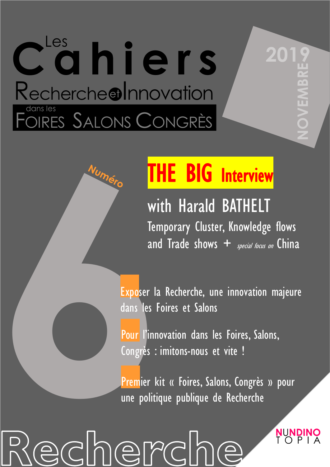# dhiers Rechercheolnnovation COIRES SALONS CONGRÈS

## THE BIG Interview

with Harald BATHELT Temporary Cluster, Knowledge flows and Trade shows  $+$  special focus on China

**20** 

 $\hat{\boldsymbol{\varrho}}$ 

NUNDIN

Exposer la Recherche, une innovation majeure dans les Foires et Salons

**Exposer la**<br> **Exposer la**<br> **Exposer la**<br> **Exposer la**<br> **Exposer la**<br> **Exposer la**<br> **Exposer la**<br> **Exposer la**<br> **Exposer la**<br> **Exposer la**<br> **Pour l'innov**<br>
Congrès : in<br> **Premier** kit<br> **une politique** Pour l'innovation dans les Foires, Salons, Congrès : imitons-nous et vite !

Premier kit « Foires, Salons, Congrès » pour une politique publique de Recherche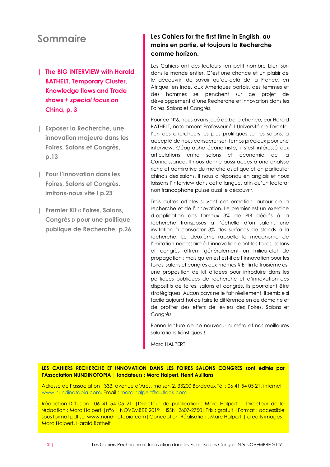## **Sommaire**

- | **The BIG INTERVIEW with Harald BATHELT, Temporary Cluster, Knowledge flows and Trade shows +** *special focus on* **China, p. 3**
- | **Exposer la Recherche, une innovation majeure dans les Foires, Salons et Congrès, p.13**
- | **Pour l'innovation dans les Foires, Salons et Congrès, imitons-nous vite ! p.23**
- | **Premier Kit « Foires, Salons, Congrès » pour une politique publique de Recherche, p.26**

#### **Les Cahiers for the first time in English, au moins en partie, et toujours la Recherche comme horizon.**

Les Cahiers ont des lecteurs -en petit nombre bien sûrdans le monde entier. C'est une chance et un plaisir de le découvrir, de savoir qu'au-delà de la France, en Afrique, en Inde, aux Amériques parfois, des femmes et des hommes se penchent sur ce projet de développement d'une Recherche et Innovation dans les Foires, Salons et Congrès.

Pour ce N°6, nous avons joué de belle chance, car Harald BATHELT, notamment Professeur à l'Université de Toronto l'un des chercheurs les plus prolifiques sur les salons, a accepté de nous consacrer son temps précieux pour une interview. Géographe économiste, il s'est intéressé aux articulations entre salons et économie de la Connaissance. Il nous donne aussi accès à une analyse riche et admirative du marché asiatique et en particulier chinois des salons. Il nous a répondu en anglais et nous laissons l'interview dans cette langue, afin qu'un lectorat non francophone puisse aussi le découvrir.

Trois autres articles suivent cet entretien, autour de la recherche et de l'innovation. Le premier est un exercice d'application des fameux 3% de PIB dédiés à la recherche transposés à l'échelle d'un salon : une invitation à consacrer 3% des surfaces de stands à la recherche. Le deuxième rappelle le mécanisme de l'imitation nécessaire à l'innovation dont les foires, salons et congrès offrent généralement un milieu-clef de propagation : mais qu'en est est-il de l'innovation pour les foires, salons et congrès eux-mêmes ? Enfin le troisième est une proposition de kit d'idées pour introduire dans les politiques publiques de recherche et d'innovation des dispositifs de foires, salons et congrès. Ils pourraient être stratégiques. Aucun pays ne le fait réellement, il semble si facile aujourd'hui de faire la différence en ce domaine et de profiter des effets de leviers des Foires, Salons et Congrès.

Bonne lecture de ce nouveau numéro et nos meilleures salutations fiéristiques !

Marc HALPERT

**LES CAHIERS RECHERCHE ET INNOVATION DANS LES FOIRES SALONS CONGRES sont édités par l'Association NUNDINOTOPIA | fondateurs : Marc Halpert, Henri Auillans**

Adresse de l'association : 333, avenue d'Arès, maison 2, 33200 Bordeaux Tél : 06 41 54 05 21, internet : [www.nundinotopia.com,](http://www.nundinotopia.com/) Email : [marc.halpert@outlook.com](mailto:marc.halpert@outlook.com)

Rédaction-Diffusion : 06 41 54 05 21 |Directeur de publication : Marc Halpert | Directeur de la rédaction : Marc Halpert |n°6 | NOVEMBRE 2019 | ISSN 2607-2750|Prix : gratuit |Format : accessible sous format pdf sur www.nundinotopia.com|Conception-Réalisation : Marc Halpert | crédits images : Marc Halpert, Harald Bathelt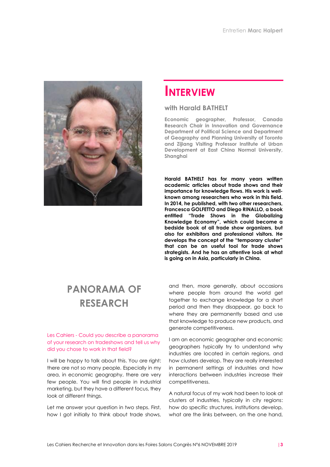

## **INTERVIEW**

#### **with Harald BATHELT**

**Economic geographer, Professor, Canada Research Chair in Innovation and Governance Department of Political Science and Department of Geography and Planning University of Toronto and Zijiang Visiting Professor Institute of Urban Development at East China Normal University, Shanghai**

**Harald BATHELT has for many years written academic articles about trade shows and their importance for knowledge flows. His work is wellknown among researchers who work in this field. In 2014, he published, with two other researchers, Francesca GOLFETTO and Diego RINALLO, a book entitled "Trade Shows in the Globalizing Knowledge Economy", which could become a bedside book of all trade show organizers, but also for exhibitors and professional visitors. He develops the concept of the "temporary cluster" that can be an useful tool for trade shows strategists. And he has an attentive look at what is going on in Asia, particularly in China.** 

## **PANORAMA OF RESEARCH**

#### Les Cahiers - Could you describe a panorama of your research on tradeshows and tell us why did you chose to work in that field?

I will be happy to talk about this. You are right: there are not so many people. Especially in my area, in economic geography, there are very few people. You will find people in industrial marketing, but they have a different focus, they look at different things.

Let me answer your question in two steps. First, how I got initially to think about trade shows,

and then, more generally, about occasions where people from around the world get together to exchange knowledge for a short period and then they disappear, go back to where they are permanently based and use that knowledge to produce new products, and generate competitiveness.

I am an economic geographer and economic geographers typically try to understand why industries are located in certain regions, and how clusters develop. They are really interested in permanent settings of industries and how interactions between industries increase their competitiveness.

A natural focus of my work had been to look at clusters of industries, typically in city regions: how do specific structures, institutions develop, what are the links between, on the one hand,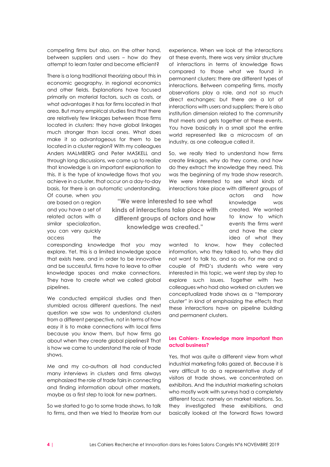competing firms but also, on the other hand, between suppliers and users – how do they attempt to learn faster and become efficient?

There is a long traditional theorizing about this in economic geography, in regional economics and other fields. Explanations have focused primarily on material factors, such as costs, or what advantages it has for firms located in that area. But many empirical studies find that there are relatively few linkages between those firms located in clusters: they have global linkages much stronger than local ones. What does make it so advantageous for them to be located in a cluster region? With my colleagues Anders MALMBERG and Peter MASKELL and through long discussions, we came up to realize that knowledge is an important explanation to this. It is the type of knowledge flows that you achieve in a cluster, that occur on a day-to-day basis, for there is an automatic understanding.

Of course, when you are based on a region and you have a set of related actors with a similar specialization, you can very quickly access the

**"We were interested to see what kinds of interactions take place with different groups of actors and how knowledge was created."**

corresponding knowledge that you may explore. Yet, this is a limited knowledge space that exists here, and in order to be innovative and be successful, firms have to leave to other knowledge spaces and make connections. They have to create what we called global pipelines.

We conducted empirical studies and then stumbled across different questions. The next question we saw was to understand clusters from a different perspective, not in terms of how easy it is to make connections with local firms because you know them, but how firms go about when they create global pipelines? That is how we came to understand the role of trade shows.

Me and my co-authors all had conducted many interviews in clusters and firms always emphasized the role of trade fairs in connecting and finding information about other markets, maybe as a first step to look for new partners.

So we started to go to some trade shows, to talk to firms, and then we tried to theorize from our

experience. When we look at the interactions at these events, there was very similar structure of interactions in terms of knowledge flows compared to those what we found in permanent clusters: there are different types of interactions. Between competing firms, mostly observations play a role, and not so much direct exchanges; but there are a lot of interactions with users and suppliers; there is also institution dimension related to the community that meets and gets together at these events. You have basically in a small spot the entire world represented like a microcosm of an industry, as one colleague called it.

So, we really tried to understand how firms create linkages, why do they come, and how do they extract the knowledge they need. This was the beginning of my trade show research. We were interested to see what kinds of interactions take place with different groups of

> actors and how knowledge was created. We wanted to know to which events the firms went and have the clear idea of what they

wanted to know, how they collected information, who they talked to, who they did not want to talk to, and so on. For me and a couple of PHD's students who were very interested in this topic, we went step by step to explore such issues. Together with two colleagues who had also worked on clusters we conceptualized trade shows as a "temporary cluster" in kind of emphasizing the effects that these interactions have on pipeline building and permanent clusters.

#### **Les Cahiers- Knowledge more important than actual business?**

Yes, that was quite a different view from what industrial marketing folks gazed at. Because it is very difficult to do a representative study of visitors at trade shows, we concentrated on exhibitors. And the industrial marketing scholars who mostly work with surveys had a completely different focus: namely on market relations. So, they investigated these exhibitions, and basically looked at the forward flows toward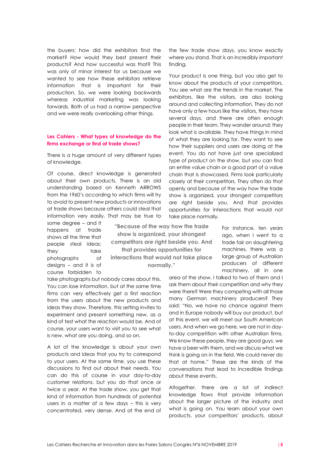the buyers: how did the exhibitors find the market? How would they best present their products? And how successful was that? This was only of minor interest for us because we wanted to see how these exhibitors retrieve information that is important for their production. So, we were looking backwards whereas industrial marketing was looking forwards. Both of us had a narrow perspective and we were really overlooking other things.

#### **Les Cahiers - What types of knowledge do the firms exchange or find at trade shows?**

There is a huge amount of very different types of knowledge.

Of course, direct knowledge is generated about their own products. There is an old understanding based on Kenneth ARROWS from the 1960's according to which firms will try to avoid to present new products or innovations at trade shows because others could steal that information very easily. That may be true to

some degree – and it happens at trade shows all the time that people steal ideas: they take photographs of designs – and it is of course forbidden to

**"Because of the way how the trade show is organized, your strongest competitors are right beside you. And that provides opportunities for interactions that would not take place normally."**

take photographs but nobody cares about this. You can lose information, but at the same time firms can very effectively get a first reaction from the users about the new products and ideas they show. Therefore, this setting invites to experiment and present something new, as a kind of test what the reaction would be. And of course, your users want to visit you to see what is new, what are you doing, and so on.

A lot of the knowledge is about your own products and ideas that you try to correspond to your users. At the same time, you use these discussions to find out about their needs. You can do this of course in your day-to-day customer relations, but you do that once or twice a year. At the trade show, you get that kind of information from hundreds of potential users in a matter of a few days – this is very concentrated, very dense. And at the end of the few trade show days, you know exactly where you stand. That is an incredibly important finding.

Your product is one thing, but you also get to know about the products of your competitors. You see what are the trends in the market. The exhibitors, like the visitors, are also looking around and collecting information. They do not have only a few hours like the visitors, they have several days, and there are often enough people in their team. They wander around; they look what is available. They have things in mind of what they are looking for. They want to see how their suppliers and users are doing at the event. You do not have just one specialized type of product on the show, but you can find an entire value chain or a good part of a value chain that is showcased. Firms look particularly closely at their competitors. They often do that openly and because of the way how the trade show is organized, your strongest competitors are right beside you. And that provides opportunities for interactions that would not take place normally.

> For instance, ten years ago, when I went to a trade fair on slaughtering machines, there was a large group of Australian producers of different machinery, all in one

area of the show. I talked to two of them and I ask them about their competition and why they were there? Were they competing with all those many German machinery producers? They said: "No, we have no chance against them and in Europe nobody will buy our product, but at this event, we will meet our South American users. And when we go here, we are not in dayto-day competition with other Australian firms. We know these people, they are good guys, we have a beer with them, and we discuss what we think is going on in the field. We could never do that at home." These are the kinds of the conversations that lead to incredible findings about these events.

Altogether, there are a lot of indirect knowledge flows that provide information about the larger picture of the industry and what is going on. You learn about your own products, your competitors' products, about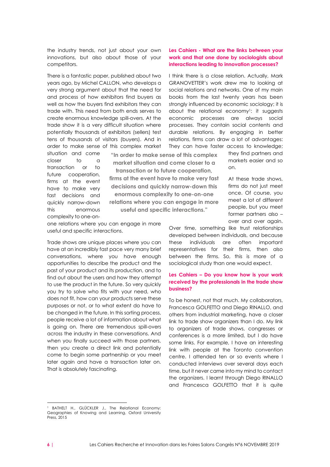the industry trends, not just about your own innovations, but also about those of your competitors.

There is a fantastic paper, published about two years ago, by Michel CALLON, who develops a very strong argument about that the need for and process of how exhibitors find buyers as well as how the buyers find exhibitors they can trade with. This need from both ends serves to create enormous knowledge spill-overs. At the trade show it is a very difficult situation where potentially thousands of exhibitors (sellers) test tens of thousands of visitors (buyers). And in order to make sense of this complex market

situation and come closer to a transaction or to future cooperation, firms at the event have to make very fast decisions and quickly narrow-down this enormous complexity to one-on**"In order to make sense of this complex market situation and come closer to a transaction or to future cooperation,** 

**firms at the event have to make very fast decisions and quickly narrow-down this enormous complexity to one-on-one relations where you can engage in more useful and specific interactions."**

one relations where you can engage in more useful and specific interactions.

Trade shows are unique places where you can have at an incredibly fast pace very many brief conversations, where you have enough opportunities to describe the product and the past of your product and its production, and to find out about the users and how they attempt to use the product in the future. So very quickly you try to solve who fits with your need, who does not fit, how can your products serve these purposes or not, or to what extent do have to be changed in the future. In this sorting process, people receive a lot of information about what is going on. There are tremendous spill-overs across the industry in these conversations. And when you finally succeed with those partners, then you create a direct link and potentially come to begin some partnership or you meet later again and have a transaction later on. That is absolutely fascinating.

#### **Les Cahiers - What are the links between your work and that one done by sociologists about interactions leading to innovation processes?**

I think there is a close relation. Actually, Mark GRANOVETTER's work drew me to looking at social relations and networks. One of my main books from the last twenty years has been strongly influenced by economic sociology; it is about the relational economy<sup>1</sup>: it suggests economic processes are always social processes. They contain social contents and durable relations. By engaging in better relations, firms can draw a lot of advantages: They can have faster access to knowledge;

> they find partners and markets easier and so on.

At these trade shows, firms do not just meet once. Of course, you meet a lot of different people, but you meet former partners also – over and over again.

Over time, something like trust relationships developed between individuals, and because these individuals are often important representatives for their firms, then also between the firms. So, this is more of a sociological study than one would expect.

#### **Les Cahiers – Do you know how is your work received by the professionals in the trade show business?**

To be honest, not that much. My collaborators, Francesca GOLFETTO and Diego RINALLO, and others from industrial marketing, have a closer link to trade show organizers than I do. My link to organizers of trade shows, congresses or conferences is a more limited, but I do have some links. For example, I have an interesting link with people at the Toronto convention centre. I attended ten or so events where I conducted interviews over several days each time, but it never came into my mind to contact the organizers. I learnt through Diego RINALLO and Francesca GOLFETTO that it is quite

BATHELT H., GLÜCKLER J., The Relational Economy: Geographies of Knowing and Learning, Oxford University Press, 2015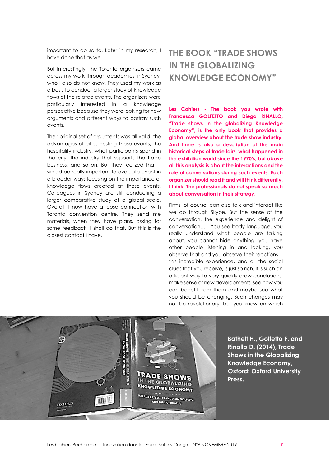important to do so to. Later in my research, I have done that as well.

But interestingly, the Toronto organizers came across my work through academics in Sydney, who I also do not know. They used my work as a basis to conduct a larger study of knowledge flows at the related events. The organizers were particularly interested in a knowledge perspective because they were looking for new arguments and different ways to portray such events.

Their original set of arguments was all valid: the advantages of cities hosting these events, the hospitality industry, what participants spend in the city, the industry that supports the trade business, and so on. But they realized that it would be really important to evaluate event in a broader way: focusing on the importance of knowledge flows created at these events. Colleagues in Sydney are still conducting a larger comparative study at a global scale. Overall, I now have a loose connection with Toronto convention centre. They send me materials, when they have plans, asking for some feedback, I shall do that. But this is the closest contact I have.

## **THE BOOK "TRADE SHOWS IN THE GLOBALIZING KNOWLEDGE ECONOMY"**

**Les Cahiers - The book you wrote with Francesca GOLFETTO and Diego RINALLO, "Trade shows in the globalizing Knowledge Economy", is the only book that provides a global overview about the trade show industry. And there is also a description of the main historical steps of trade fairs, what happened in the exhibition world since the 1970's, but above all this analysis is about the interactions and the role of conversations during such events. Each organizer should read it and will think differently, I think. The professionals do not speak so much about conversation in their strategy.** 

Firms, of course, can also talk and interact like we do through Skype. But the sense of the conversation, the experience and delight of conversation…-- You see body language, you really understand what people are talking about, you cannot hide anything, you have other people listening in and looking, you observe that and you observe their reactions - this incredible experience, and all the social clues that you receive, is just so rich. It is such an efficient way to very quickly draw conclusions, make sense of new developments, see how you can benefit from them and maybe see what you should be changing. Such changes may not be revolutionary, but you know on which



**Bathelt H., Golfetto F. and Rinallo D. (2014), Trade Shows in the Globalizing Knowledge Economy, Oxford: Oxford University Press.**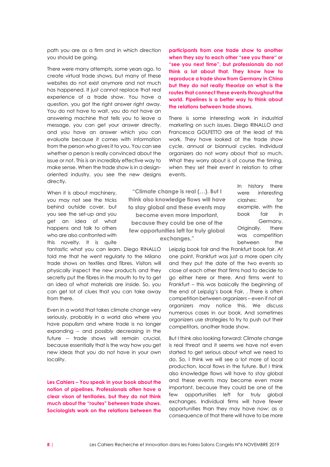path you are as a firm and in which direction you should be going.

There were many attempts, some years ago, to create virtual trade shows, but many of these websites do not exist anymore and not much has happened. It just cannot replace that real experience of a trade show. You have a question, you got the right answer right away. You do not have to wait, you do not have an answering machine that tells you to leave a message, you can get your answer directly, and you have an answer which you can evaluate because it comes with information from the person who gives it to you. You can see whether a person is really convinced about the issue or not. This is an incredibly effective way to make sense. When the trade show is in a designoriented industry, you see the new designs directly.

When it is about machinery, you may not see the tricks behind outside cover, but you see the set-up and you get an idea of what happens and talk to others who are also confronted with this novelty. It is quite

fantastic what you can learn. Diego RINALLO told me that he went regularly to the Milano trade shows on textiles and fibres. Visitors will physically inspect the new products and they secretly put the fibres in the mouth to try to get an idea of what materials are inside. So, you can get lot of clues that you can take away from there.

Even in a world that takes climate change very seriously, probably in a world also where you have populism and where trade is no longer expanding -- and possibly decreasing in the future -- trade shows will remain crucial, because essentially that is the way how you get new ideas that you do not have in your own locality.

**Les Cahiers – You speak in your book about the notion of pipelines. Professionals often have a clear vison of territories, but they do not think much about the "routes" between trade shows. Sociologists work on the relations between the** 

**participants from one trade show to another when they say to each other "see you there" or "see you next time", but professionals do not think a lot about that. They know how to reproduce a trade show from Germany in China but they do not really theorize on what is the routes that connect these events throughout the world. Pipelines is a better way to think about the relations between trade shows.**

There is some interesting work in industrial marketing on such issues. Diego RINALLO and Francesca GOLFETTO are at the lead of this work. They have looked at the trade show cycle, annual or biannual cycles. Individual organizers do not worry about that so much. What they worry about is of course the timing, when they set their event in relation to other events.

**"Climate change is real (…). But I think also knowledge flows will have to stay global and these events may become even more important, because they could be one of the few opportunities left for truly global exchanges."**

In history there were interesting clashes: for example, with the book fair in Germany. Originally, there was competition between the

Leipzig book fair and the Frankfurt book fair. At one point, Frankfurt was just a more open city and they put the date of the two events so close of each other that firms had to decide to go either here or there. And firms went to Frankfurt – this was basically the beginning of the end of Leipzig's book Fair, . There is often competition between organizers – even if not all organizers may notice this. We discuss numerous cases in our book. And sometimes organizers use strategies to try to push out their competitors, another trade show.

But I think also looking forward: Climate change is real threat and it seems we have not even started to get serious about what we need to do. So, I think we will see a lot more of local production, local flows in the future. But I think also knowledge flows will have to stay global and these events may become even more important, because they could be one of the few opportunities left for truly global exchanges. Individual firms will have fewer opportunities than they may have now: as a consequence of that there will have to be more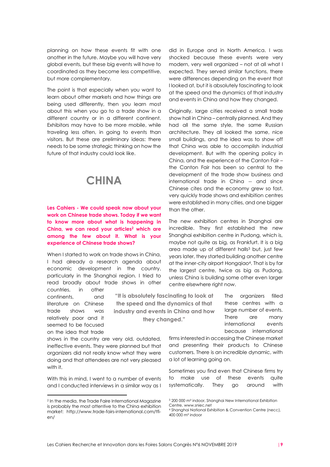planning on how these events fit with one another in the future. Maybe you will have very global events, but these big events will have to coordinated as they become less competitive, but more complementary.

The point is that especially when you want to learn about other markets and how things are being used differently, then you learn most about this when you go to a trade show in a different country or in a different continent. Exhibitors may have to be more mobile, while traveling less often, in going to events than visitors. But these are preliminary ideas: there needs to be some strategic thinking on how the future of that industry could look like.

## **CHINA**

#### **Les Cahiers - We could speak now about your work on Chinese trade shows. Today if we want to know more about what is happening in China, we can read your articles<sup>2</sup> which are among the few about it. What is your experience of Chinese trade shows?**

When I started to work on trade shows in China. I had already a research agenda about economic development in the country, particularly in the Shanghai region. I tried to read broadly about trade shows in other countries, in other

continents, and literature on Chinese trade shows was relatively poor and it seemed to be focused on the idea that trade

shows in the country are very old, outdated, ineffective events. They were planned but that organizers did not really know what they were doing and that attendees are not very pleased with it.

With this in mind. I went to a number of events and I conducted interviews in a similar way as I

did in Europe and in North America. I was shocked because these events were very modern, very well organized – not at all what I expected. They served similar functions, there were differences depending on the event that I looked at, but it is absolutely fascinating to look at the speed and the dynamics of that industry and events in China and how they changed.

Originally, large cities received a small trade show hall in China – centrally planned. And they had all the same style, the same Russian architecture. They all looked the same, nice small buildings, and the idea was to show off that China was able to accomplish industrial development. But with the opening policy in China, and the experience of the Canton Fair – the Canton Fair has been so central to the development of the trade show business and international trade in China -- and since Chinese cites and the economy grew so fast, very quickly trade shows and exhibition centres were established in many cities, and one bigger than the other.

The new exhibition centres in Shanghai are incredible. They first established the new Shanghai exhibition centre in Pudong, which is, maybe not quite as big, as Frankfurt. It is a big area made up of different halls<sup>3</sup> but, just few years later, they started building another centre at the inner-city airport Hongqiao<sup>4</sup> . That is by far the largest centre, twice as big as Pudong, unless China is building some other even larger centre elsewhere right now.

> The organizers filled these centres with a large number of events. There are many international events because international

firms interested in accessing the Chinese market and presenting their products to Chinese customers. There is an incredible dynamic, with a lot of learning going on.

Sometimes you find even that Chinese firms try to make use of these events quite systematically. They go around with

**"It is absolutely fascinating to look at the speed and the dynamics of that industry and events in China and how they changed."**

<sup>2</sup> In the media, the Trade Faire International Magazine is probably the most attentive to the China exhibition market: http://www.trade-fairs-international.com/tfi- $An/$ 

<sup>3</sup> 200 000 m² indoor, Shanghai New International Exhibition Centre, www.sniec.net

<sup>4</sup> Shanghai National Exhibition & Convention Centre (necc), 400 000 m² indoor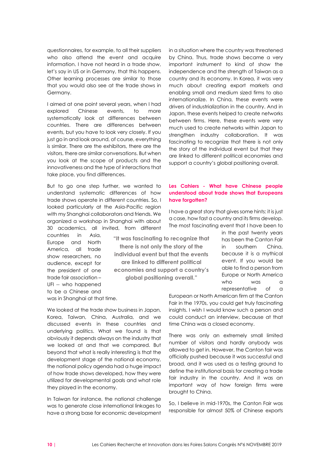questionnaires, for example, to all their suppliers who also attend the event and acquire information. I have not heard in a trade show, let's say in US or in Germany, that this happens. Other learning processes are similar to those that you would also see at the trade shows in Germany.

I aimed at one point several years, when I had explored Chinese events, to more systematically look at differences between countries. There are differences between events, but you have to look very closely. If you just go in and look around, of course, everything is similar. There are the exhibitors, there are the visitors, there are similar conversations. But when you look at the scope of products and the innovativeness and the type of interactions that take place, you find differences.

But to go one step further, we wanted to understand systematic differences of how trade shows operate in different countries. So, I looked particularly at the Asia-Pacific region with my Shanghai collaborators and friends. We organized a workshop in Shanghai with about 30 academics, all invited, from different

> **"It was fascinating to recognize that there is not only the story of the individual event but that the events are linked to different political economies and support a country's global positioning overall."**

countries in Asia, Europe and North America, all trade show researchers, no audience, except for the president of one trade fair association – UFI -- who happened to be a Chinese and was in Shanghai at that time.

We looked at the trade show business in Japan, Korea, Taiwan, China, Australia, and we discussed events in these countries and underlying politics. What we found is that obviously it depends always on the industry that we looked at and that we compared. But beyond that what is really interesting is that the development stage of the national economy, the national policy agenda had a huge impact of how trade shows developed, how they were utilized for developmental goals and what role they played in the economy.

In Taiwan for instance, the national challenge was to generate close international linkages to have a strong base for economic development

in a situation where the country was threatened by China. Thus, trade shows became a very important instrument to kind of show the independence and the strength of Taiwan as a country and its economy. In Korea, it was very much about creating export markets and enabling small and medium sized firms to also internationalize. In China, these events were drivers of industrialization in the country. And in Japan, these events helped to create networks between firms. Here, these events were very much used to create networks within Japan to strengthen industry collaboration. It was fascinating to recognize that there is not only the story of the individual event but that they are linked to different political economies and support a country's global positioning overall.

#### **Les Cahiers - What have Chinese people understood about trade shows that Europeans have forgotten?**

I have a great story that gives some hints: it is just a case, how fast a country and its firms develop. The most fascinating event that I have been to

> in the past twenty years has been the Canton Fair in southern China, because it is a mythical event. If you would be able to find a person from Europe or North America who was a representative of a

European or North American firm at the Canton Fair in the 1970s, you could get truly fascinating insights. I wish I would know such a person and could conduct an interview, because at that time China was a closed economy.

There was only an extremely small limited number of visitors and hardly anybody was allowed to get in. However, the Canton fair was officially pushed because it was successful and broad, and it was used as a testing ground to define the institutional basis for creating a trade fair industry in the country. And it was an important way of how foreign firms were brought to China.

So, I believe in mid-1970s, the Canton Fair was responsible for almost 50% of Chinese exports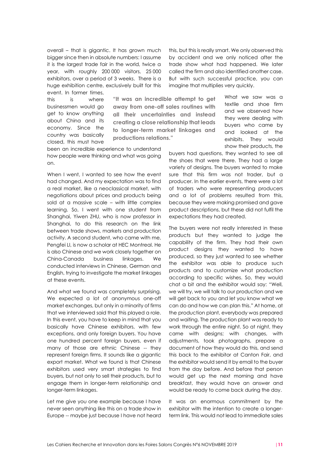overall – that is gigantic. It has grown much bigger since then in absolute numbers: I assume it is the largest trade fair in the world, twice a year, with roughly 200 000 visitors, 25 000 exhibitors, over a period of 3 weeks. There is a huge exhibition centre, exclusively built for this event. In former times,

this is where businessmen would go get to know anything about China and its economy. Since the country was basically closed, this must have

**"It was an incredible attempt to get away from one-off sales routines with all their uncertainties and instead creating a close relationship that leads to longer-term market linkages and productions relations."**

been an incredible experience to understand how people were thinking and what was going on.

When I went, I wanted to see how the event had changed. And my expectation was to find a real market, like a neoclassical market, with negotiations about prices and products being sold at a massive scale – with little complex learning. So, I went with one student from Shanghai, Yiwen ZHU, who is now professor in Shanghai, to do this research on the link between trade shows, markets and production activity. A second student, who came with me, Pengfei LI, is now a scholar at HEC Montreal. He is also Chinese and we work closely together on China-Canada business linkages. We conducted interviews in Chinese, German and English, trying to investigate the market linkages at these events.

And what we found was completely surprising. We expected a lot of anonymous one-off market exchanges, but only in a minority of firms that we interviewed said that this played a role. In this event, you have to keep in mind that you basically have Chinese exhibitors, with few exceptions, and only foreign buyers. You have one hundred percent foreign buyers, even if many of those are ethnic Chinese -- they represent foreign firms. It sounds like a gigantic export market. What we found is that Chinese exhibitors used very smart strategies to find buyers, but not only to sell their products, but to engage them in longer-term relationship and longer-term linkages.

Let me give you one example because I have never seen anything like this on a trade show in Europe -- maybe just because I have not heard

this, but this is really smart. We only observed this by accident and we only noticed after the trade show what had happened. We later called the firm and also identified another case. But with such successful practice, you can imagine that multiplies very quickly.

textile and shoe firm and we observed how they were dealing with buyers who came by and looked at the exhibits. They would show their products, the

What we saw was a

buyers had questions, they wanted to see all the shoes that were there. They had a large variety of designs. The buyers wanted to make sure that this firm was not trader, but a producer. In the earlier events, there were a lot of traders who were representing producers and a lot of problems resulted from this, because they were making promised and gave product descriptions, but these did not fulfil the expectations they had created.

The buyers were not really interested in these products but they wanted to judge the capability of the firm. They had their own product designs they wanted to have produced, so they just wanted to see whether the exhibitor was able to produce such products and to customize what production according to specific wishes. So, they would chat a bit and the exhibitor would say: "Well, we will try, we will talk to our production and we will get back to you and let you know what we can do and how we can plan this." At home, at the production plant, everybody was prepared and waiting. The production plant was ready to work through the entire night. So at night, they came with designs; with changes, with adjustments, took photographs, prepare a document of how they would do this, and send this back to the exhibitor at Canton Fair, and the exhibitor would send it by email to the buyer from the day before. And before that person would get up the next morning and have breakfast, they would have an answer and would be ready to come back during the day.

It was an enormous commitment by the exhibitor with the intention to create a longerterm link. This would not lead to immediate sales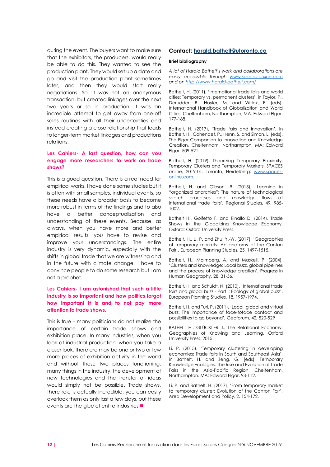during the event. The buyers want to make sure that the exhibitors, the producers, would really be able to do this. They wanted to see the production plant. They would set up a date and go and visit the production plant sometimes later, and then they would start really negotiations. So, it was not an anonymous transaction, but created linkages over the next two years or so in production. It was an incredible attempt to get away from one-off sales routines with all their uncertainties and instead creating a close relationship that leads to longer-term market linkages and productions relations.

#### **Les Cahiers- A last question, how can you engage more researchers to work on trade shows?**

This is a good question. There is a real need for empirical works. I have done some studies but it is often with small samples, individual events, so these needs have a broader basis to become more robust in terms of the findings and to also have a better conceptualization and understanding of these events. Because, as always, when you have more and better empirical results, you have to revise and improve your understandings. The entire industry is very dynamic, especially with the shifts in global trade that we are witnessing and in the future with climate change. I have to convince people to do some research but I am not a prophet.

#### **Les Cahiers- I am astonished that such a little industry is so important and how politics forgot how important it is and to not pay more attention to trade shows.**

This is true – many politicians do not realize the importance of certain trade shows and exhibition place. In many industries, when you look at industrial production, when you take a closer look, there are may be one or two or few more places of exhibition activity in the world and without these two places functioning, many things in the industry, the development of new technologies and the transfer of ideas would simply not be possible. Trade shows, there role is actually incredible: you can easily overlook them as only last a few days, but these events are the glue of entire industries ■

#### **Contact: [harald.bathelt@utoronto.ca](mailto:harald.bathelt@utoronto.ca)**

#### **Brief bibliography**

*A lot of Harald Bathelt's work and collaborations are easily accessible through [www.spaces-online.com](http://www.spaces-online.com/) and o[n http://www.harald-bathelt.com/](http://www.harald-bathelt.com/)*

Bathelt, H. (2011), 'International trade fairs and world cities: Temporary vs. permanent clusters', in Taylor, P., Derudder, B., Hoyler, M. and Witlox, F. (eds), International Handbook of Globalization and World Cities, Cheltenham, Northampton, MA: Edward Elgar, 177-188.

Bathelt, H. (2017), 'Trade fairs and innovation', in Bathelt, H., Cohendet, P., Henn, S. and Simon, L. (eds), The Elgar Companion to Innovation and Knowledge Creation, Cheltenham, Northampton, MA: Edward Elgar, 509-521.

Bathelt, H. (2019), Theorizing Temporary Proximity, Temporary Clusters and Temporary Markets, SPACES online, 2019-01. Toronto, Heidelberg: [www.spaces](http://www.spaces-online.com/)[online.com.](http://www.spaces-online.com/) 

Bathelt, H. and Gibson, R. (2015), 'Learning in "organized anarchies": The nature of technological search processes and knowledge flows at international trade fairs', Regional Studies, 49, 985- 1002.

Bathelt H., Golfetto F. and Rinallo D. (2014), Trade Shows in the Globalizing Knowledge Economy, Oxford: Oxford University Press.

Bathelt, H., Li, P. and Zhu, Y.-W. (2017), 'Geographies of temporary markets: An anatomy of the Canton Fair', European Planning Studies, 25, 1497-1515.

Bathelt, H., Malmberg, A. and Maskell, P. (2004), 'Clusters and knowledge: Local buzz, global pipelines and the process of knowledge creation', Progress in Human Geography, 28, 31-56.

Bathelt, H. and Schuldt, N. (2010), 'International trade fairs and global buzz - Part I: Ecology of global buzz', European Planning Studies, 18, 1957-1974.

Bathelt, H. and Turi, P. (2011), 'Local, global and virtual buzz: The importance of face-toface contact and possibilities to go beyond', Geoforum, 42, 520-529

BATHELT H., GLÜCKLER J., The Relational Economy: Geographies of Knowing and Learning, Oxford University Press, 2015

Li, P. (2015), 'Temporary clustering in developing economies: Trade fairs in South and Southeast Asia', in Bathelt, H. and Zeng, G. (eds), Temporary Knowledge Ecologies: The Rise and Evolution of Trade Fairs in the Asia-Pacific Region, Cheltenham, Northampton, MA: Edward Elgar, 93-112.

Li, P. and Bathelt, H. (2017), 'From temporary market to temporary cluster: Evolution of the Canton Fair', Area Development and Policy, 2, 154-172.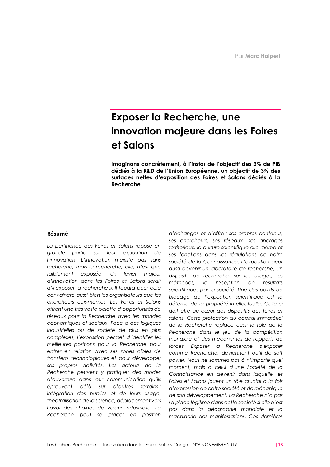## **Exposer la Recherche, une innovation majeure dans les Foires et Salons**

**Imaginons concrètement, à l'instar de l'objectif des 3% de PIB dédiés à la R&D de l'Union Européenne, un objectif de 3% des surfaces nettes d'exposition des Foires et Salons dédiés à la Recherche**

#### **Résumé**

*La pertinence des Foires et Salons repose en grande partie sur leur exposition de l'innovation. L'innovation n'existe pas sans recherche, mais la recherche, elle, n'est que faiblement exposée. Un levier majeur d'innovation dans les Foires et Salons serait d'« exposer la recherche ». Il faudra pour cela convaincre aussi bien les organisateurs que les chercheurs eux-mêmes. Les Foires et Salons offrent une très vaste palette d'opportunités de réseaux pour la Recherche avec les mondes économiques et sociaux. Face à des logiques industrielles ou de société de plus en plus complexes, l'exposition permet d'identifier les meilleures positions pour la Recherche pour entrer en relation avec ses zones cibles de transferts technologiques et pour développer ses propres activités. Les acteurs de la Recherche peuvent y pratiquer des modes d'ouverture dans leur communication qu'ils éprouvent déjà sur d'autres terrains : intégration des publics et de leurs usage, théâtralisation de la science, déplacement vers l'aval des chaînes de valeur industrielle. La Recherche peut se placer en position* 

*d'échanges et d'offre : ses propres contenus, ses chercheurs, ses réseaux, ses ancrages territoriaux, la culture scientifique elle-même et ses fonctions dans les régulations de notre société de la Connaissance. L'exposition peut aussi devenir un laboratoire de recherche, un dispositif de recherche, sur les usages, les méthodes, la réception de résultats scientifiques par la société. Une des points de blocage de l'exposition scientifique est la défense de la propriété intellectuelle. Celle-ci doit être au cœur des dispositifs des foires et salons. Cette protection du capital immatériel de la Recherche replace aussi le rôle de la Recherche dans le jeu de la compétition mondiale et des mécanismes de rapports de forces. Exposer la Recherche, s'exposer comme Recherche, deviennent outil de soft power. Nous ne sommes pas à n'importe quel moment, mais à celui d'une Société de la Connaissance en devenir dans laquelle les Foires et Salons jouent un rôle crucial à la fois d'expression de cette société et de mécanique de son développement. La Recherche n'a pas sa place légitime dans cette société si elle n'est pas dans la géographie mondiale et la machinerie des manifestations. Ces dernières*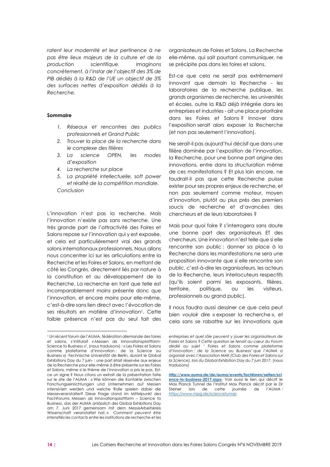*ratent leur modernité et leur pertinence à ne pas être lieux majeurs de la culture et de la production scientifique. Imaginons concrètement, à l'instar de l'objectif des 3% de PIB dédiés à la R&D de l'UE un objectif de 3% des surfaces nettes d'exposition dédiés à la Recherche.*

#### **Sommaire**

- *1. Réseaux et rencontres des publics professionnels et Grand Public*
- *2. Trouver la place de la recherche dans le complexe des filières*
- *3. La science OPEN, les modes d'exposition*
- *4. La recherche sur place*
- *5. La propriété intellectuelle, soft power et réalité de la compétition mondiale. Conclusion*

L'innovation n'est pas la recherche. Mais l'innovation n'existe pas sans recherche. Une très grande part de l'attractivité des Foires et Salons repose sur l'innovation qui y est exposée, et cela est particulièrement vrai des grands salons internationaux professionnels. Nous allons nous concentrer ici sur les articulations entre la Recherche et les Foires et Salons, en mettant de côté les Congrès, directement liés par nature à la constitution et au développement de la Recherche. La recherche en tant que telle est incomparablement moins présente donc que l'innovation, et encore moins pour elle-même, c'est-à-dire sans lien direct avec l'évocation de ses résultats en matière d'innovation<sup>1</sup>. Cette faible présence n'est pas du seul fait des

organisateurs de Foires et Salons. La Recherche elle-même, qui sait pourtant communiquer, ne se précipite pas dans les foires et salons.

Est-ce que cela ne serait pas extrêmement innovant que demain la Recherche - les laboratoires de la recherche publique, les grands organismes de recherche, les universités et écoles, outre la R&D déjà intégrée dans les entreprises et industries - ait une place prioritaire dans les Foires et Salons ? Innover dans l'exposition serait alors exposer la Recherche (et non pas seulement l'innovation).

Ne serait-il pas aujourd'hui décisif que dans une filière dominée par l'exposition de l'innovation, la Recherche, pour une bonne part origine des innovations, entre dans la structuration même de ces manifestations ? Et plus loin encore, ne faudrait-il pas que cette Recherche puisse exister pour ses propres enjeux de recherche, et non pas seulement comme moteur, moyen d'innovation, plutôt au plus près des premiers soucis de recherche et d'avancées des chercheurs et de leurs laboratoires ?

Mais pour quoi faire ? s'interrogera sans doute une bonne part des organisateurs ET des chercheurs. Une innovation n'est telle que si elle rencontre son public : donner sa place à la Recherche dans les manifestations ne sera une proposition innovante que si elle rencontre son public, c'est-à-dire les organisateurs, les acteurs de la Recherche, leurs interlocuteurs respectifs (qu'ils soient parmi les exposants, filières, territoire, politique, ou les visiteurs, professionnels ou grand public).

Il nous faudra aussi dessiner ce que cela peut bien vouloir dire « exposer la recherche », et cela sans se rabattre sur les innovations que

<sup>&</sup>lt;sup>1</sup> Un récent forum de l'AUMA, fédération allemande des foires et salons, s'intitulait « Messen als Innovationsplattform-Science to Business » 1 , (nous traduisons) : « Les Foires et Salons comme plateforme d'innovation : de la Science au Business ») -Technische Universität de Berlin, durant le Global Exhibitions Day du 7 juin- : une part était réservée aux enjeux de la Recherche pour elle-même à être présente sur les Foires et Salons, même si le thème de l'innovation a pris le pas. Estce un signe ? Nous citons un extrait de la présentation faite sur le site de l'AUMA : « Wie können die Kontakte zwischen Forschungseinrichtungen und Unternehmen auf Messen intensiviert werden und welche Rolle spielen dabei die Messeveranstalter? Diese Frage stand im Mittelpunkt des FachForums Messen als Innovationsplattform – Science to Business, das der AUMA anlässlich des Global Exhibitions Day am 7. Juni 2017 gemeinsam mit dem MesseArbeitskreis Wissenschaft veranstaltet hat. » *Comment peuvent être intensifiés les contacts entre les institutions de recherche et les* 

*entreprises et quel rôle peuvent y jouer les organisateurs de Foires et Salons ? Cette question se tenait au cœur du Forum dédié au sujet ' Foires et Salons comme plateforme d'innovation : de la Science au Business' que l'AUMA a organisé avec l'Association MAK (Club des Foires et Salons sur la Science), lors du Global Exhibition Day du 7 juin 2017*. (nous traduisons)

**[http://www.auma.de/de/auma/events/fachforen/seiten/sci](http://www.auma.de/de/auma/events/fachforen/seiten/science-to-business-2017.aspx) [ence-to-business-2017.aspx](http://www.auma.de/de/auma/events/fachforen/seiten/science-to-business-2017.aspx)**. Voir aussi le lien qui décrit le Max Planck Tunnel de l'Institut Max Planck décrit par le Dr Steiner lors de cette journée de l'AUMA : <https://www.mpg.de/sciencetunnel>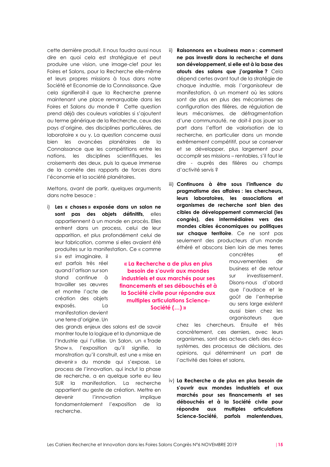cette dernière produit. Il nous faudra aussi nous dire en quoi cela est stratégique et peut produire une vision, une image-clef pour les Foires et Salons, pour la Recherche elle-même et leurs propres missions à tous dans notre Société et Economie de la Connaissance. Que cela signifierait-il que la Recherche prenne maintenant une place remarquable dans les Foires et Salons du monde ? Cette question prend déjà des couleurs variables si s'ajoutent au terme générique de la Recherche, ceux des pays d'origine, des disciplines particulières, de laboratoire x ou y. La question concerne aussi bien les avancées planétaires de la Connaissance que les compétitions entre les nations, les disciplines scientifiques, les croisements des deux, puis la queue immense de la comète des rapports de forces dans l'économie et la société planétaires.

Mettons, avant de partir, quelques arguments dans notre besace :

i) **Les « choses » exposée dans un salon ne sont pas des objets définitifs,** elles appartiennent à un monde en procès. Elles entrent dans un process, celui de leur apparition, et plus profondément celui de leur fabrication, comme si elles avaient été produites sur la manifestation. Ce « comme

si » est imaginaire, il est parfois très réel quand l'artisan sur son stand continue à travailler ses œuvres et montre l'acte de création des objets exposés. La manifestation devient une terre d'origine. Un

**« La Recherche a de plus en plus besoin de s'ouvrir aux mondes industriels et aux marchés pour ses financements et ses débouchés et à la Société civile pour répondre aux multiples articulations Science-Société (…) »**

des grands enjeux des salons est de savoir montrer toute la logique et la dynamique de l'Industrie qui l'utilise. Un Salon, un « Trade Show », l'exposition qu'il signifie, la monstration qu'il construit, est une « mise en devenir » du monde qui s'expose. Le process de l'innovation, qui inclut la phase de recherche, a en quelque sorte eu lieu SUR la manifestation. La recherche appartient au geste de création. Mettre en devenir l'innovation implique fondamentalement l'exposition de la recherche.

- ii) **Raisonnons en « business man » : comment ne pas investir dans la recherche et dans son développement, si elle est à la base des atouts des salons que j'organise ?** Cela dépend certes avant tout de la stratégie de chaque industrie, mais l'organisateur de manifestation, à un moment où les salons sont de plus en plus des mécanismes de configuration des filières, de régulation de leurs mécanismes, de défragmentation d'une communauté, ne doit-il pas jouer sa part dans l'effort de valorisation de la recherche, en particulier dans un monde extrêmement compétitif, pour se conserver et se développer, plus largement pour accomplir ses missions – rentables, s'il faut le dire - auprès des filières ou champs d'activité servis ?
- iii) **Continuons à être sous l'influence du pragmatisme des affaires : les chercheurs, leurs laboratoires, les associations et organismes de recherche sont bien des cibles de développement commercial (les congrès), des intermédiaires vers des mondes cibles économiques ou politiques sur chaque territoire**. Ce ne sont pas seulement des producteurs d'un monde éthéré et abscons bien loin de mes terres

concrètes et mouvementées de business et de retour sur investissement. Disons-nous d'abord que l'audace et le goût de l'entreprise au sens large existent aussi bien chez les organisateurs que

chez les chercheurs. Ensuite et très concrètement, ces derniers, avec leurs organismes, sont des acteurs clefs des écosystèmes, des processus de décisions, des opinions, qui déterminent un part de l'activité des foires et salons,

iv) **La Recherche a de plus en plus besoin de s'ouvrir aux mondes industriels et aux marchés pour ses financements et ses débouchés et à la Société civile pour répondre aux multiples articulations Science-Société, parfois malentendues,**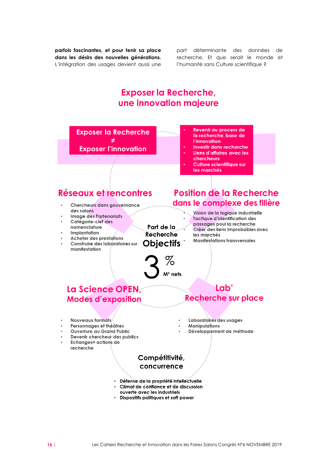**parfois fascinantes, et pour tenir sa place dans les désirs des nouvelles générations.** L'intégration des usages devient aussi une

part déterminante des données de recherche. Et que serait le monde et l'humanité sans Culture scientifique ?

### **Exposer la Recherche,** une innovation majeure

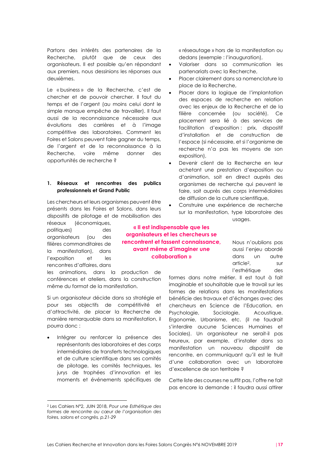Partons des intérêts des partenaires de la Recherche, plutôt que de ceux des organisateurs. Il est possible qu'en répondant aux premiers, nous dessinions les réponses aux deuxièmes.

Le « business » de la Recherche, c'est de chercher et de pouvoir chercher. Il faut du temps et de l'argent (au moins celui dont le simple manque empêche de travailler). Il faut aussi de la reconnaissance nécessaire aux évolutions des carrières et à l'image compétitive des laboratoires. Comment les Foires et Salons peuvent faire gagner du temps, de l'argent et de la reconnaissance à la Recherche, voire même donner des opportunités de recherche ?

#### **1. Réseaux et rencontres des publics professionnels et Grand Public**

Les chercheurs et leurs organismes peuvent être présents dans les Foires et Salons, dans leurs dispositifs de pilotage et de mobilisation des

réseaux (économiques, politiques) des organisateurs (ou des filières commanditaires de la manifestation), dans l'exposition et les rencontres d'affaires, dans

les animations, dans la production de conférences et ateliers, dans la construction même du format de la manifestation.

Si un organisateur décide dans sa stratégie et pour ses objectifs de compétitivité et d'attractivité, de placer la Recherche de manière remarquable dans sa manifestation, il pourra donc :

Intégrer ou renforcer la présence des représentants des laboratoires et des corps intermédiaires de transferts technologiques et de culture scientifique dans ses comités de pilotage, les comités techniques, les jurys de trophées d'innovation et les moments et événements spécifiques de

« réseautage » hors de la manifestation ou dedans (exemple : l'inauguration),

- Valoriser dans sa communication les partenariats avec la Recherche,
- Placer clairement dans sa nomenclature la place de la Recherche,
- Placer dans la logique de l'implantation des espaces de recherche en relation avec les enjeux de la Recherche et de la filière concernée (ou société). Ce placement sera lié à des services de facilitation d'exposition : prix, dispositif d'installation et de construction de l'espace (si nécessaire, et si l'organisme de recherche n'a pas les moyens de son exposition),
- Devenir client de la Recherche en leur achetant une prestation d'exposition ou d'animation, soit en direct auprès des organismes de recherche qui peuvent le faire, soit auprès des corps intermédiaires de diffusion de la culture scientifique,
- Construire une expérience de recherche sur la manifestation, type laboratoire des

usages.

**« Il est indispensable que les organisateurs et les chercheurs se rencontrent et fassent connaissance, avant même d'imaginer une collaboration »**

Nous n'oublions pas aussi l'enjeu abordé dans un autre article<sup>2</sup> sur l'esthétique des

formes dans notre métier. Il est tout à fait imaginable et souhaitable que le travail sur les formes de relations dans les manifestations bénéficie des travaux et d'échanges avec des chercheurs en Science de l'Education, en Psychologie, Sociologie, Acoustique, Ergonomie, Urbanisme, etc. (il ne faudrait s'interdire aucune Sciences Humaines et Sociales). Un organisateur ne serait-il pas heureux, par exemple, d'installer dans sa manifestation un nouveau dispositif de rencontre, en communiquant qu'il est le fruit d'une collaboration avec un laboratoire d'excellence de son territoire ?

Cette liste des courses ne suffit pas, l'offre ne fait pas encore la demande : il faudra aussi attirer

<sup>2</sup> Les Cahiers N°2, JUIN 2018, *Pour une Esthétique des formes de rencontre au cœur de l'organisation des foires, salons et congrès, p.21-29*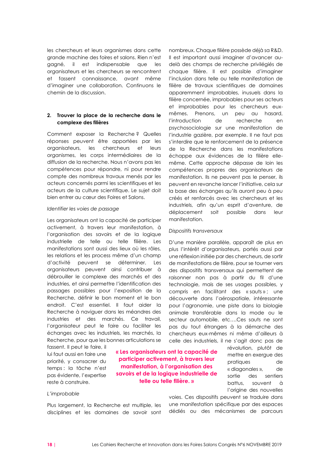les chercheurs et leurs organismes dans cette grande machine des foires et salons. Rien n'est gagné, il est indispensable que les organisateurs et les chercheurs se rencontrent et fassent connaissance, avant même d'imaginer une collaboration. Continuons le chemin de la discussion.

#### **2. Trouver la place de la recherche dans le complexe des filières**

Comment exposer la Recherche ? Quelles réponses peuvent être apportées par les organisateurs, les chercheurs et leurs organismes, les corps intermédiaires de la diffusion de la recherche. Nous n'avons pas les compétences pour répondre, ni pour rendre compte des nombreux travaux menés par les acteurs concernés parmi les scientifiques et les acteurs de la culture scientifique. Le sujet doit bien entrer au cœur des Foires et Salons.

#### *Identifier les voies de passage*

Les organisateurs ont la capacité de participer activement, à travers leur manifestation, à l'organisation des savoirs et de la logique industrielle de telle ou telle filière. Les manifestations sont aussi des lieux où les rôles, les relations et les process même d'un champ d'activité peuvent se déterminer. Les organisateurs peuvent ainsi contribuer à débrouiller le complexe des marchés et des industries, et ainsi permettre l'identification des passages possibles pour l'exposition de la Recherche, définir le bon moment et le bon endroit. C'est essentiel. Il faut aider la Recherche à naviguer dans les méandres des industries et des marchés. Ce travail, l'organisateur peut le faire ou faciliter les échanges avec les industriels, les marchés, la Recherche, pour que les bonnes articulations se

fassent. Il peut le faire, il lui faut aussi en faire une priorité, y consacrer du temps : la tâche n'est pas évidente, l'expertise reste à construire.

#### **« Les organisateurs ont la capacité de participer activement, à travers leur manifestation, à l'organisation des savoirs et de la logique industrielle de telle ou telle filière. »**

#### *L'improbable*

Plus largement, la Recherche est multiple, les disciplines et les domaines de savoir sont

nombreux. Chaque filière possède déjà sa R&D. Il est important aussi imaginer d'avancer audelà des champs de recherche privilégiés de chaque filière. Il est possible d'imaginer l'inclusion dans telle ou telle manifestation de filière de travaux scientifiques de domaines apparemment improbables, inusuels dans la filière concernée, improbables pour ses acteurs et improbables pour les chercheurs euxmêmes. Prenons, un peu au hasard, l'introduction de recherche en psychosociologie sur une manifestation de l'industrie gazière, par exemple. Il ne faut pas s'interdire que le renforcement de la présence de la Recherche dans les manifestations échappe aux évidences de la filière ellemême. Cette approche dépasse de loin les compétences propres des organisateurs de manifestation. Ils ne peuvent pas le penser, ils peuvent en revanche lancer l'initiative, cela sur la base des échanges qu'ils auront peu à peu créés et renforcés avec les chercheurs et les industriels, afin qu'un esprit d'aventure, de déplacement soit possible dans leur manifestation.

#### *Dispositifs transversaux*

D'une manière parallèle, apparaît de plus en plus l'intérêt d'organisateurs, portés aussi par une réflexion initiée par des chercheurs, de sortir de manifestations de filière, pour se tourner vers des dispositifs transversaux qui permettent de raisonner non pas à partir du fil d'une technologie, mais de ses usages possibles, y compris en facilitant des « sauts » ; une découverte dans l'aérospatiale, intéressante pour l'agronomie, une piste dans la biologie animale transférable dans la mode ou le secteur automobile, etc….Ces sauts ne sont pas du tout étrangers à la démarche des chercheurs eux-mêmes ni même d'ailleurs à celle des industriels, il ne s'agit donc pas de

> révolution, plutôt de mettre en exergue des pratiques de « diagonales », de sortie des sentiers battus, souvent à l'origine des nouvelles

voies. Ces dispositifs peuvent se traduire dans une manifestation spécifique par des espaces dédiés ou des mécanismes de parcours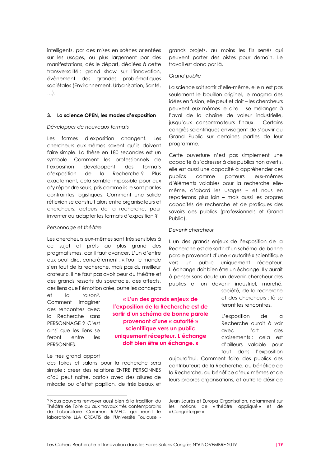intelligents, par des mises en scènes orientées sur les usages, ou plus largement par des manifestations, dès le départ, dédiées à cette transversalité : grand show sur l'innovation, évènement des grandes problématiques sociétales (Environnement, Urbanisation, Santé, …).

#### **3. La science OPEN, les modes d'exposition**

#### *Développer de nouveaux formats*

Les formes d'exposition changent. Les chercheurs eux-mêmes savent qu'ils doivent faire simple. La thèse en 180 secondes est un symbole. Comment les professionnels de l'exposition développent des formats d'exposition de la Recherche ? Plus exactement, cela semble impossible pour eux d'y répondre seuls, pris comme ils le sont par les contraintes logistiques. Comment une solide réflexion se construit alors entre organisateurs et chercheurs, acteurs de la recherche, pour inventer ou adapter les formats d'exposition ?

#### *Personnage et théâtre*

Les chercheurs eux-mêmes sont très sensibles à ce sujet et prêts au plus grand des pragmatismes, car il faut avancer. L'un d'entre eux peut dire, concrètement : « Tout le monde s'en fout de la recherche, mais pas du meilleur orateur ». Il ne faut pas avoir peur du théâtre et des grands ressorts du spectacle, des affects, des liens que l'émotion crée, outre les concepts

et la raison<sup>3</sup> . Comment imaginer des rencontres avec la Recherche sans PERSONNAGE ? C'est ainsi que les liens se feront entre les PERSONNES.

#### Le très grand apport

des foires et salons pour la recherche sera simple : créer des relations ENTRE PERSONNES d'où peut naître, parfois avec des allures de miracle ou d'effet papillon, de très beaux et

grands projets, au moins les fils serrés qui peuvent porter des pistes pour demain. Le travail est donc par là.

#### *Grand public*

La science sait sortir d'elle-même, elle n'est pas seulement le bouillon originel, le magma des idées en fusion, elle peut et doit – les chercheurs peuvent eux-mêmes le dire – se mélanger à l'aval de la chaîne de valeur industrielle, jusqu'aux consommateurs finaux. Certains congrès scientifiques envisagent de s'ouvrir au Grand Public sur certaines parties de leur programme.

Cette ouverture n'est pas simplement une capacité à s'adresser à des publics non avertis, elle est aussi une capacité à appréhender ces publics comme porteurs eux-mêmes d'éléments valables pour la recherche ellemême, d'abord les usages – et nous en reparlerons plus loin – mais aussi les propres capacités de recherche et de pratiques des savoirs des publics (professionnels et Grand Public).

#### *Devenir chercheur*

**« L'un des grands enjeux de l'exposition de la Recherche est de sortir d'un schéma de bonne parole provenant d'une « autorité » scientifique vers un public uniquement récepteur. L'échange doit bien être un échange. »**

L'un des grands enjeux de l'exposition de la Recherche est de sortir d'un schéma de bonne parole provenant d'une « autorité » scientifique vers un public uniquement récepteur. L'échange doit bien être un échange. Il y aurait à penser sans doute un devenir-chercheur des publics et un devenir industriel, marché,

> société, de la recherche et des chercheurs : là se feront les rencontres.

L'exposition de la Recherche aurait à voir avec l'art des croisements : cela est d'ailleurs valable pour tout dans l'exposition

aujourd'hui. Comment faire des publics des contributeurs de la Recherche, au bénéfice de la Recherche, au bénéfice d'eux-mêmes et de leurs propres organisations, et outre le désir de

<sup>3</sup> Nous pouvons renvoyer aussi bien à la tradition du Théâtre de Foire qu'aux travaux très contemporains du Laboratoire Commun RIMEC, qui réunit le laboratoire LLA CREATIS de l'Université Toulouse -

Jean Jaurès et Europa Organisation, notamment sur les notions de « théâtre appliqué » et de « Congréturgie »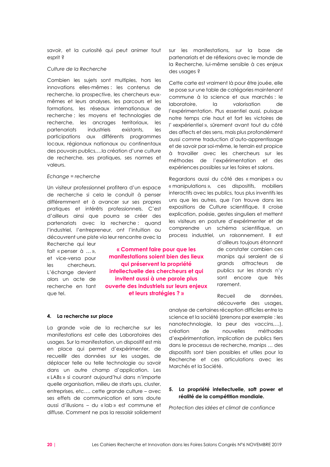savoir, et la curiosité qui peut animer tout esprit ?

#### *Culture de la Recherche*

Combien les sujets sont multiples, hors les innovations elles-mêmes : les contenus de recherche, la prospective, les chercheurs euxmêmes et leurs analyses, les parcours et les formations, les réseaux internationaux de recherche ; les moyens et technologies de recherche, les ancrages territoriaux, les partenariats industriels existants, les participations aux différents programmes locaux, régionaux nationaux ou continentaux des pouvoirs publics,…la création d'une culture de recherche, ses pratiques, ses normes et valeurs.

#### *Echange = recherche*

Un visiteur professionnel profitera d'un espace de recherche si cela le conduit à penser différemment et à avancer sur ses propres pratiques et intérêts professionnels. C'est d'ailleurs ainsi que pourra se créer des partenariats avec la recherche : quand l'industriel, l'entrepreneur, ont l'intuition ou découvrent une piste via leur rencontre avec la

Recherche qui leur fait « penser à … », et vice-versa pour les chercheurs. L'échange devient alors un acte de recherche en tant que tel.

**« Comment faire pour que les manifestations soient bien des lieux qui préservent la propriété intellectuelle des chercheurs et qui invitent aussi à une parole plus ouverte des industriels sur leurs enjeux et leurs stratégies ? »**

#### **4. La recherche sur place**

La grande voie de la recherche sur les manifestations est celle des Laboratoires des usages. Sur la manifestation, un dispositif est mis en place qui permet d'expérimenter, de recueillir des données sur les usages, de déplacer telle ou telle technologie ou savoir dans un autre champ d'application. Les « LABs » si courant aujourd'hui dans n'importe quelle organisation, milieu de starts ups, cluster, entreprises, etc…. cette grande culture – avec ses effets de communication et sans doute aussi d'illusions – du « lab » est commune et diffuse. Comment ne pas la ressaisir solidement

sur les manifestations, sur la base de partenariats et de réflexions avec le monde de la Recherche, lui-même sensible à ces enjeux des usages ?

Cette carte est vraiment là pour être jouée, elle se pose sur une table de catégories maintenant commune à la science et aux marchés : le laboratoire, la valorisation de l'expérimentation. Plus essentiel aussi, puisque notre temps crie haut et fort les victoires de l' «expérientiel », sûrement avant tout du côté des affects et des sens, mais plus profondément aussi comme traduction d'auto-apprentissage et de savoir par soi-même, le terrain est propice à travailler avec les chercheurs sur les méthodes de l'expérimentation et des expériences possibles sur les foires et salons.

Regardons aussi du côté des « manipes » ou « manipulations », ces dispositifs, mobiliers interactifs avec les publics, tous plus inventifs les uns que les autres, que l'on trouve dans les expositions de Culture scientifique. Il croise explication, poésie, gestes singuliers et mettent les visiteurs en posture d'expérimenter et de comprendre un schéma scientifique, un process industriel, un raisonnement. Il est

d'ailleurs toujours étonnant de constater combien ces manips qui seraient de si grands attracteurs de publics sur les stands n'y sont encore que très rarement.

Recueil de données, découverte des usages,

analyse de certaines réception difficiles entre la science et la société (prenons par exemple : les nanotechnologie, la peur des vaccins,…), création de nouvelles méthodes d'expérimentation, implication de publics tiers dans le processus de recherche, manips … des dispositifs sont bien possibles et utiles pour la Recherche et ces articulations avec les Marchés et la Société.

#### **5. La propriété intellectuelle, soft power et réalité de la compétition mondiale.**

*Protection des idées et climat de confiance*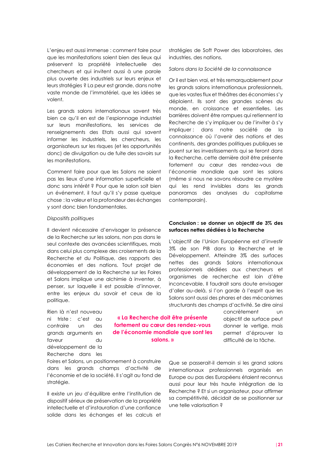L'enjeu est aussi immense : comment faire pour que les manifestations soient bien des lieux qui préservent la propriété intellectuelle des chercheurs et qui invitent aussi à une parole plus ouverte des industriels sur leurs enjeux et leurs stratégies ? La peur est grande, dans notre vaste monde de l'immatériel, que les idées se volent.

Les grands salons internationaux savent très bien ce qu'il en est de l'espionnage industriel sur leurs manifestations, les services de renseignements des Etats aussi qui savent informer les industriels, les chercheurs, les organisateurs sur les risques (et les opportunités donc) de divulgation ou de fuite des savoirs sur les manifestations.

Comment faire pour que les Salons ne soient pas les lieux d'une information superficielle et donc sans intérêt ? Pour que le salon soit bien un événement, il faut qu'il s'y passe quelque chose : la valeur et la profondeur des échanges y sont donc bien fondamentales.

#### *Dispositifs politiques*

Il devient nécessaire d'envisager la présence de la Recherche sur les salons, non pas dans le seul contexte des avancées scientifiques, mais dans celui plus complexe des croisements de la Recherche et du Politique, des rapports des économies et des nations. Tout projet de développement de la Recherche sur les Foires et Salons implique une alchimie à inventer, à penser, sur laquelle il est possible d'innover, entre les enjeux du savoir et ceux de la politique.

Foires et Salons, un positionnement à construire dans les grands champs d'activité de l'économie et de la société. Il s'agit au fond de

Il existe un jeu d'équilibre entre l'institution de dispositif sérieux de préservation de la propriété intellectuelle et d'instauration d'une confiance solide dans les échanges et les calculs et

Rien là n'est nouveau ni triste : c'est au contraire un des grands arguments en faveur du développement de la Recherche dans les

stratégie.

**« La Recherche doit être présente fortement au cœur des rendez-vous de l'économie mondiale que sont les salons. »**

stratégies de Soft Power des laboratoires, des industries, des nations.

*Salons dans la Société de la connaissance*

Or il est bien vrai, et très remarquablement pour les grands salons internationaux professionnels, que les vastes flux et théâtres des économies s'y déploient. Ils sont des grandes scènes du monde, en croissance et essentielles. Les barrières doivent être rompues qui retiennent la Recherche de s'y impliquer ou de l'inviter à s'y impliquer : dans notre société de la connaissance où l'avenir des nations et des continents, des grandes politiques publiques se jouent sur les investissements qui se feront dans la Recherche, cette dernière doit être présente fortement au cœur des rendez-vous de l'économie mondiale que sont les salons (même si nous ne savons résoudre ce mystère qui les rend invisibles dans les grands panoramas des analyses du capitalisme contemporain).

#### **Conclusion : se donner un objectif de 3% des surfaces nettes dédiées à la Recherche**

L'objectif de l'Union Européenne est d'investir 3% de son PIB dans la Recherche et le Développement. Atteindre 3% des surfaces nettes des grands Salons internationaux professionnels dédiées aux chercheurs et organismes de recherche est loin d'être inconcevable. Il faudrait sans doute envisager d'aller au-delà, si l'on garde à l'esprit que les Salons sont aussi des phares et des mécanismes structurants des champs d'activité. Se dire ainsi

concrètement un objectif de surface peut donner le vertige, mais permet d'éprouver la difficulté de la tâche.

Que se passerait-il demain si les grand salons internationaux professionnels organisés en Europe ou pas des Européens étaient reconnus aussi pour leur très haute intégration de la Recherche ? Et si un organisateur, pour affirmer sa compétitivité, décidait de se positionner sur une telle valorisation ?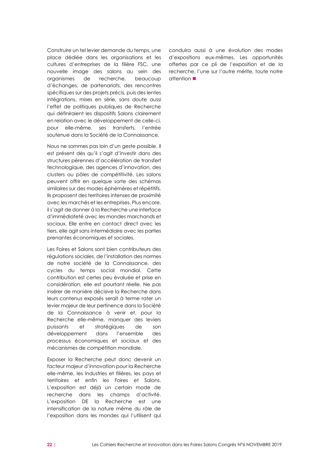Construire un tel levier demande du temps, une place dédiée dans les organisations et les cultures d'entreprises de la filière FSC, une nouvelle image des salons au sein des organismes de recherche, beaucoup d'échanges, de partenariats, des rencontres spécifiques sur des projets précis, puis des lentes intégrations, mises en série, sans doute aussi l'effet de politiques publiques de Recherche qui définiraient les dispositifs Salons clairement en relation avec le développement de celle-ci, pour elle-même, ses transferts, l'entrée soutenue dans la Société de la Connaissance.

Nous ne sommes pas loin d'un geste possible. Il est présent dès qu'il s'agit d'investir dans des structures pérennes d'accélération de transfert technologique, des agences d'innovation, des clusters ou pôles de compétitivité. Les salons peuvent offrir en quelque sorte des schémas similaires sur des modes éphémères et répétitifs. Ils proposent des territoires intenses de proximité avec les marchés et les entreprises. Plus encore, il s'agit de donner à la Recherche une interface d'immédiateté avec les mondes marchands et sociaux. Elle entre en contact direct avec les tiers, elle agit sans intermédiaire avec les parties prenantes économiques et sociales.

Les Foires et Salons sont bien contributeurs des régulations sociales, de l'installation des normes de notre société de la Connaissance, des cycles du temps social mondial. Cette contribution est certes peu évaluée et prise en considération, elle est pourtant réelle. Ne pas insérer de manière décisive la Recherche dans leurs contenus exposés serait à terme rater un levier majeur de leur pertinence dans la Société de la Connaissance à venir et, pour la Recherche elle-même, manquer des leviers puissants et stratégiques de son développement dans l'ensemble des processus économiques et sociaux et des mécanismes de compétition mondiale.

Exposer la Recherche peut donc devenir un facteur majeur d'innovation pour la Recherche elle-même, les Industries et filières, les pays et territoires et enfin les Foires et Salons. L'exposition est déjà un certain mode de recherche dans les champs d'activité. L'exposition DE la Recherche est une intensification de la nature même du rôle de l'exposition dans les mondes qui l'utilisent qui conduira aussi à une évolution des modes d'expositions eux-mêmes. Les opportunités offertes par ce pli de l'exposition et de la recherche, l'une sur l'autre mérite, toute notre attention **■**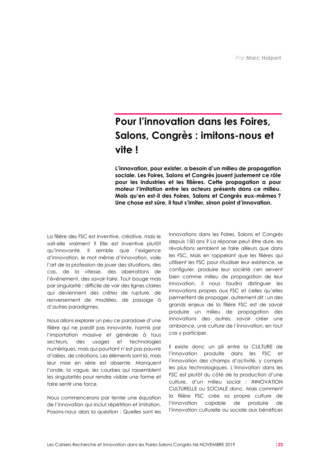## **Pour l'innovation dans les Foires, Salons, Congrès : imitons-nous et vite !**

**L'innovation, pour exister, a besoin d'un milieu de propagation sociale. Les Foires, Salons et Congrès jouent justement ce rôle pour les industries et les filières. Cette propagation a pour moteur l'imitation entre les acteurs présents dans ce milieu. Mais qu'en est-il des Foires, Salons et Congrès eux-mêmes ? Une chose est sûre, il faut s'imiter, sinon point d'innovation.**

La filière des FSC est inventive, créative, mais le sait-elle vraiment ? Elle est inventive plutôt qu'innovante. Il semble que l'exigence d'innovation, le mot même d'innovation, voile l'art de la profession de jouer des situations, des cas, de la vitesse, des aberrations de l'événement, des savoir-faire. Tout bouge mais par singularité ; difficile de voir des lignes claires qui deviennent des crêtes de rupture, de renversement de modèles, de passage à d'autres paradigmes.

Nous allons explorer un peu ce paradoxe d'une filière qui ne paraît pas innovante, hormis par l'importation massive et générale à tous secteurs, des usages et technologies numériques, mais qui pourtant n'est pas pauvre d'idées, de créations. Les éléments sont là, mais leur mise en série est absente. Manquent l'onde, la vague, les courbes qui rassemblent les singularités pour rendre visible une forme et faire sentir une force.

Nous commencerons par tenter une équation de l'innovation qui inclut répétition et imitation. Posons-nous alors la question : Quelles sont les

innovations dans les Foires, Salons et Congrès depuis 150 ans ? La réponse peut être dure, les révolutions semblent se faire ailleurs que dans les FSC. Mais en rappelant que les filières qui utilisent les FSC pour ritualiser leur existence, se configurer, produire leur société s'en servent bien comme milieu de propagation de leur innovation, il nous faudra distinguer les innovations propres aux FSC et celles qu'elles permettent de propager, autrement dit : un des grands enjeux de la filière FSC est de savoir produire un milieu de propagation des innovations des autres, savoir créer une ambiance, une culture de l'innovation, en tout cas y participer.

Il existe donc un pli entre la CULTURE de l'innovation produite dans les FSC et l'innovation des champs d'activité, y compris les plus technologiques. L'innovation dans les FSC est plutôt du côté de la production d'une culture, d'un milieu social : INNOVATION CULTURELLE ou SOCIALE donc. Mais comment la filière FSC crée sa propre culture de l'innovation capable de produire de l'innovation culturelle ou sociale aux bénéfices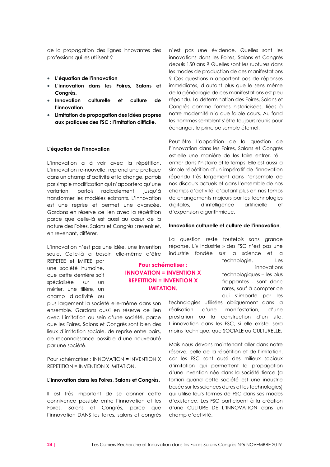de la propagation des lignes innovantes des professions qui les utilisent ?

- **L'équation de l'innovation**
- **L'innovation dans les Foires, Salons et Congrès.**
- **Innovation culturelle et culture de l'innovation**.
- **Limitation de propagation des idées propres aux pratiques des FSC : l'imitation difficile.**

#### **L'équation de l'innovation**

L'innovation a à voir avec la répétition. L'innovation re-nouvelle, reprend une pratique dans un champ d'activité et la change, parfois par simple modification qui n'apportera qu'une variation, parfois radicalement, jusqu'à transformer les modèles existants. L'innovation est une reprise et permet une avancée. Gardons en réserve ce lien avec la répétition parce que celle-là est aussi au cœur de la nature des Foires, Salons et Congrès : revenir et, en revenant, différer.

L'innovation n'est pas une idée, une invention seule. Celle-là a besoin elle-même d'être

REPETEE et IMITEE par une société humaine, que cette dernière soit spécialisée sur un métier, une filière, un champ d'activité ou

plus largement la société elle-même dans son ensemble. Gardons aussi en réserve ce lien avec l'imitation au sein d'une société, parce que les Foires, Salons et Congrès sont bien des lieux d'imitation sociale, de reprise entre pairs, de reconnaissance possible d'une nouveauté par une société.

Pour schématiser : INNOVATION = INVENTION X REPETITION = INVENTION X IMITATION.

#### **L'innovation dans les Foires, Salons et Congrès.**

Il est très important de se donner cette connivence possible entre l'innovation et les Foires, Salons et Congrès, parce que l'innovation DANS les foires, salons et congrès

n'est pas une évidence. Quelles sont les innovations dans les Foires, Salons et Congrès depuis 150 ans ? Quelles sont les ruptures dans les modes de production de ces manifestations ? Ces questions n'apportent pas de réponses immédiates, d'autant plus que le sens même de la généalogie de ces manifestations est peu répandu. La détermination des Foires, Salons et Congrès comme formes historicisées, liées à notre modernité n'a que faible cours. Au fond les hommes semblent s'être toujours réunis pour échanger, le principe semble éternel.

Peut-être l'apparition de la question de l'innovation dans les Foires, Salons et Congrès est-elle une manière de les faire entrer, ré entrer dans l'histoire et le temps. Elle est aussi la simple répétition d'un impératif de l'innovation répandu très largement dans l'ensemble de nos discours actuels et dans l'ensemble de nos champs d'activité, d'autant plus en nos temps de changements majeurs par les technologies digitales, d'intelligence artificielle et d'expansion algorithmique.

#### **Innovation culturelle et culture de l'innovation**.

La question reste toutefois sans grande réponse. L'« industrie » des FSC n'est pas une industrie fondée sur la science et la

technologie. Les innovations technologiques – les plus frappantes - sont donc rares, sauf à compter ce qui s'importe par les

technologies utilisées obliquement dans la réalisation d'une manifestation, d'une prestation ou la construction d'un site. L'innovation dans les FSC, si elle existe, sera moins technique, que SOCIALE ou CULTURELLE.

Mais nous devons maintenant aller dans notre réserve, celle de la répétition et de l'imitation, car les FSC sont aussi des milieux sociaux d'imitation qui permettent la propagation d'une invention née dans la société tierce (a fortiori quand cette société est une industrie basée sur les sciences dures et les technologies) qui utilise leurs formes de FSC dans ses modes d'existence. Les FSC participent à la création d'une CULTURE DE L'INNOVATION dans un champ d'activité.

**Pour schématiser : INNOVATION = INVENTION X REPETITION = INVENTION X IMITATION.**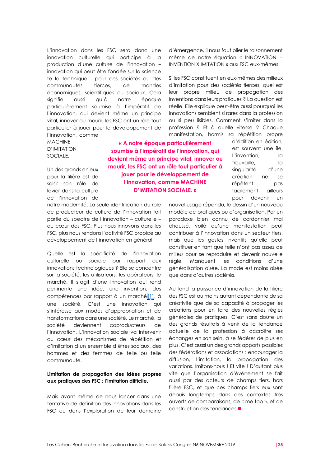L'innovation dans les FSC sera donc une innovation culturelle qui participe à la production d'une culture de l'innovation – innovation qui peut être fondée sur la science te la technique - pour des sociétés ou des communautés tierces, de mondes économiques, scientifiques ou sociaux. Cela signifie aussi qu'à notre époque particulièrement soumise à l'impératif de l'innovation, qui devient même un principe vital, innover ou mourir, les FSC ont un rôle tout particulier à jouer pour le développement de l'innovation, comme

MACHINE D'IMITATION SOCIALE.

Un des grands enjeux pour la filière est de saisir son rôle de levier dans la culture de l'innovation de

notre modernité. La seule identification du rôle de producteur de culture de l'innovation fait partie du spectre de l'innovation – culturelle – au cœur des FSC. Plus nous innovons dans les FSC, plus nous rendons l'activité FSC propice au développement de l'innovation en général.

Quelle est la spécificité de l'innovation culturelle ou sociale par rapport aux innovations technologiques ? Elle se concentre sur la société, les utilisateurs, les opérateurs, le marché. Il s'agit d'une innovation qui rend pertinente une idée, une invention, des compétences par rapport à un march[é\[1\],](https://admin.over-blog.com/963515/write/84602572#_ftn1) à une société. C'est une innovation qui s'intéresse aux modes d'appropriation et de transformations dans une société. Le marché, la société deviennent coproducteurs de l'innovation. L'innovation sociale va intervenir au cœur des mécanismes de répétition et d'imitation d'un ensemble d'êtres sociaux, des hommes et des femmes de telle ou telle communauté.

#### **Limitation de propagation des idées propres aux pratiques des FSC : l'imitation difficile.**

Mais avant même de nous lancer dans une tentative de définition des innovations dans les FSC ou dans l'exploration de leur domaine

d'émergence, il nous faut plier le raisonnement même de notre équation « INNOVATION = INVENTION X IMITATION » aux FSC eux-mêmes.

Si les FSC constituent en eux-mêmes des milieux d'imitation pour des sociétés tierces, quel est leur propre milieu de propagation des inventions dans leurs pratiques ? La question est réelle. Elle explique peut-être aussi pourquoi les innovations semblent si rares dans la profession ou si peu lisibles. Comment s'imiter dans la profession ? Et à quelle vitesse ? Chaque manifestation, hormis sa répétition propre

**« A notre époque particulièrement soumise à l'impératif de l'innovation, qui devient même un principe vital, innover ou mourir, les FSC ont un rôle tout particulier à jouer pour le développement de l'innovation, comme MACHINE D'IMITATION SOCIALE. »**

d'édition en édition, est souvent une île. L'invention, la trouvaille, la singularité d'une création ne se répètent pas facilement ailleurs pour devenir un

nouvel usage répandu, le dessin d'un nouveau modèle de pratiques ou d'organisation. Par un paradoxe bien connu de cordonnier mal chaussé, voilà qu'une manifestation peut contribuer à l'innovation dans un secteur tiers, mais que les gestes inventifs qu'elle peut constituer en tant que telle n'ont pas assez de milieu pour se reproduire et devenir nouvelle règle. Manquent les conditions d'une généralisation aisée. La mode est moins aisée que dans d'autres sociétés.

Au fond la puissance d'innovation de la filière des FSC est au moins autant dépendante de sa créativité que de sa capacité à propager les créations pour en faire des nouvelles règles générales de pratiques. C'est sans doute un des grands résultats à venir de la tendance actuelle de la profession à accroître ses échanges en son sein, à se fédérer de plus en plus. C'est aussi un des grands apports possibles des fédérations et associations : encourager la diffusion, l'imitation, la propagation des variations. Imitons-nous ! Et vite ! D'autant plus vite que l'organisation d'événement se fait aussi par des acteurs de champs tiers, hors filière FSC, et que ces champs tiers eux sont depuis longtemps dans des contextes très ouverts de comparaisons, de « me too », et de construction des tendances.■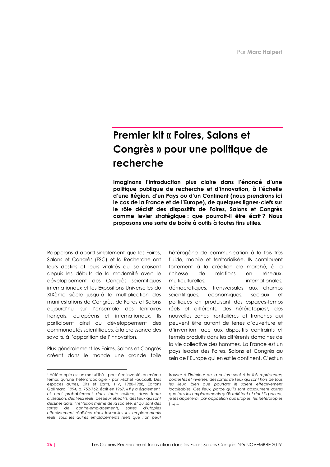## **Premier kit « Foires, Salons et Congrès » pour une politique de recherche**

**Imaginons l'introduction plus claire dans l'énoncé d'une politique publique de recherche et d'innovation, à l'échelle d'une Région, d'un Pays ou d'un Continent (nous prendrons ici le cas de la France et de l'Europe), de quelques lignes-clefs sur le rôle décisif des dispositifs de Foires, Salons et Congrès comme levier stratégique : que pourrait-il être écrit ? Nous proposons une sorte de boîte à outils à toutes fins utiles.** 

Rappelons d'abord simplement que les Foires, Salons et Congrès (FSC) et la Recherche ont leurs destins et leurs vitalités qui se croisent depuis les débuts de la modernité avec le développement des Congrès scientifiques internationaux et les Expositions Universelles du XIXème siècle jusqu'à la multiplication des manifestations de Congrès, de Foires et Salons aujourd'hui sur l'ensemble des territoires français, européens et internationaux. Ils participent ainsi au développement des communautés scientifiques, à la croissance des savoirs, à l'apparition de l'innovation.

Plus généralement les Foires, Salons et Congrès créent dans le monde une grande toile hétérogène de communication à la fois très fluide, mobile et territorialisée. Ils contribuent fortement à la création de marché, à la richesse de relations en réseaux, multiculturelles, internationales, démocratiques, transversales aux champs scientifiques, économiques, sociaux et politiques en produisant des espaces-temps réels et différents, des hétérotopies<sup>1</sup>, des nouvelles zones frontalières et franches qui peuvent être autant de terres d'ouverture et d'invention face aux dispositifs contraints et fermés produits dans les différents domaines de la vie collective des hommes. La France est un pays leader des Foires, Salons et Congrès au sein de l'Europe qui en est le continent. C'est un

<sup>1</sup> Hétérotopie est un mot utilisé – peut-être inventé, en même temps qu'une hétérotopologie - par Michel Foucault. Des espaces autres, Dits et Ecrits, T.IV, 1980-1988, Editons Gallimard, 1994, p. 752-762, écrit en 1967*. « Il y a également, et ceci probablement dans toute culture, dans toute civilisation, des lieux réels, des lieux effectifs, des lieux qui sont dessinés dans l'institution même de la société, et qui sont des sortes de contre-emplacements, sortes d'utopies effectivement réalisées dans lesquelles les emplacements réels, tous les autres emplacements réels que l'on peut* 

*trouver à l'intérieur de la culture sont à la fois représentés, contestés et inversés, des sortes de lieux qui sont hors de tous*  les lieux, bien que pourtant ils soient effectivement *localisables. Ces lieux, parce qu'ils sont absolument autres que tous les emplacements qu'ils reflètent et dont ils parlent, je les appellerai, par opposition aux utopies, les hétérotopies (…) ».*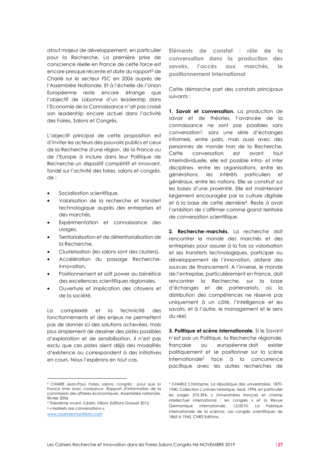atout majeur de développement, en particulier pour la Recherche. La première prise de conscience réelle en France de cette force est encore presque récente et date du rapport<sup>2</sup> de Charié sur le secteur FSC en 2006 auprès de l'Assemblée Nationale. Et à l'échelle de l'Union Européenne reste encore étrange que l'objectif de Lisbonne d'un leadership dans l'Economie de la Connaissance n'ait pas croisé son leadership encore actuel dans l'activité des Foires, Salons et Congrès.

L'objectif principal de cette proposition est d'inviter les acteurs des pouvoirs publics et ceux de la Recherche d'une région, de la France ou de l'Europe à inclure dans leur Politique de Recherche un dispositif compétitif et innovant, fondé sur l'activité des foires, salons et congrès, de :

- Socialisation scientifique,
- Valorisation de la recherche et transfert technologique auprès des entreprises et des marchés,
- Expérimentation et connaissance des usages,
- Territorialisation et de déterritorialisation de la Recherche,
- Clusterisation (les salons sont des clusters),
- Accélération du passage Recherche-Innovation,
- Positionnement et soft power au bénéfice des excellences scientifiques régionales,
- Ouverture et implication des citoyens et de la société.

La complexité et la technicité des fonctionnements et des enjeux ne permettent pas de donner ici des solutions achevées, mais plus simplement de dessiner des pistes possibles d'exploration et de sensibilisation. Il n'est pas exclu que ces pistes aient déjà des modalités d'existence ou correspondent à des initiatives en cours. Nous l'espérons en tout cas.

**Eléments de constat : rôle de la conversation dans la production des savoirs, l'accès aux marchés, le positionnement international**

Cette démarche part des constats principaux suivants :

**1. Savoir et conversation.** La production de savoir et de théories, l'avancée de la connaissance ne sont pas possibles sans conversation<sup>3</sup> , sans une série d'échanges informels, entre pairs, mais aussi avec des personnes de monde hors de la Recherche. Cette conversation est avant tout interindividuelle, elle est possible intra- et inter disciplines, entre les organisations, entre les générations, les intérêts particuliers et généraux, entre les nations. Elle se construit sur les bases d'une proximité. Elle est maintenant largement encouragée par la culture digitale et à la base de cette dernière<sup>4</sup> . Reste à avoir l'ambition de s'affirmer comme grand territoire de conversation scientifique.

**2. Recherche-marchés.** La recherche doit rencontrer le monde des marchés et des entreprises pour assurer à la fois sa valorisation et ses transferts technologiques, participer au développement de l'innovation, obtenir des sources de financement. A l'inverse, le monde de l'entreprise, particulièrement en France, doit rencontrer la Recherche, sur la base d'échanges et de partenariats, où la distribution des compétences ne réserve pas uniquement à un côté, l'intelligence et les savoirs, et à l'autre, le management et le sens du réel.

**3. Politique et scène internationale.** Si le Savant n'est pas un Politique, la Recherche régionale, française ou européenne doit exister politiquement et se positionner sur la scène internationale<sup>5</sup> face à la concurrence pacifique avec les autres recherches de

<sup>2</sup> CHARIE Jean-Paul, *Foires, salons, congrès : pour que la France rime avec croissance*, Rapport d'information de la commission des affaires économiques, Assemblée nationale, février 2006

<sup>3</sup> Théorème vivant, Cédric Villani, Editions Grasset 2012, <sup>4</sup> « Markets are conversations »,

[www.cluetrainmanifesto.com](http://www.cluetrainmanifesto.com/)

<sup>5</sup> CHARLE Christophe, La république des universitaires, 1870- 1940, Collection L'univers historique, Seuil, 1994, en particulier les pages 375-394, « Universitaires français et champ intellectuel international : les congrès » et la Revue Germanique Internationale, 12/2010, La Fabrique internationale de la science, Les congrès scientifiques de 1865 à 1945, CNRS Editions,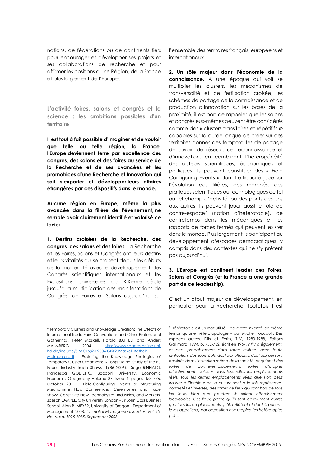nations, de fédérations ou de continents tiers pour encourager et développer ses projets et ses collaborations de recherche et pour affirmer les positions d'une Région, de la France et plus largement de l'Europe.

**L'activité foires, salons et congrès et la science : les ambitions possibles d'un territoire**

**Il est tout à fait possible d'imaginer et de vouloir que telle ou telle région, la France, l'Europe deviennent terre par excellence des congrès, des salons et des foires au service de la Recherche et de ses avancées et les promotrices d'une Recherche et Innovation qui sait s'exporter et développer leurs affaires étrangères par ces dispositifs dans le monde.** 

**Aucune région en Europe, même la plus avancée dans la filière de l'événement, ne semble avoir clairement identifié et valorisé ce levier.**

**1. Destins croisées de la Recherche, des congrès, des salons et des foires**. La Recherche et les Foires, Salons et Congrès ont leurs destins et leurs vitalités qui se croisent depuis les débuts de la modernité avec le développement des Congrès scientifiques internationaux et les Expositions Universelles du XIXème siècle jusqu'à la multiplication des manifestations de Congrès, de Foires et Salons aujourd'hui sur l'ensemble des territoires français, européens et internationaux.

**2. Un rôle majeur dans l'économie de la connaissance.** A une époque qui voit se multiplier les clusters, les mécanismes de transversalité et de fertilisation croisée, les schèmes de partage de la connaissance et de production d'innovation sur les bases de la proximité, il est bon de rappeler que les salons et congrès eux-mêmes peuvent être considérés comme des « clusters transitoires et répétitifs »<sup>6</sup> capables sur la durée longue de créer sur des territoires donnés des temporalités de partage de savoir, de réseau, de reconnaissance et d'innovation, en combinant l'hétérogénéité des acteurs scientifiques, économiques et politiques. Ils peuvent constituer des « Field Configuring Events » dont l'efficacité joue sur l'évolution des filières, des marchés, des pratiques scientifiques ou technologiques de tel ou tel champ d'activité, ou des ponts des uns aux autres. Ils peuvent jouer aussi le rôle de contre-espace<sup>7</sup> (notion d'hétérotopie), de contretemps dans les mécaniques et les rapports de forces fermés qui peuvent exister dans le monde. Plus largement ils participent au développement d'espaces démocratiques, y compris dans des contextes qui ne s'y prêtent pas aujourd'hui.

#### **3. L'Europe est continent leader des Foires, Salons et Congrès (et la France a une grande part de ce leadership)**.

C'est un atout majeur de développement, en particulier pour la Recherche. Toutefois il est

<sup>6</sup> Temporary Clusters and Knowledge Creation: The Effects of International Trade Fairs, Conventions and Other Professional Gatherings, Peter Maskell, Harald BATHELT and Anders MALMBERG, 2004, [http://www.spaces-online.uni](http://www.spaces-online.uni-hd.de/include/SPACES%202004-04%20Maskell-Bathelt-Malmberg.pdf)[hd.de/include/SPACES%202004-04%20Maskell-Bathelt-](http://www.spaces-online.uni-hd.de/include/SPACES%202004-04%20Maskell-Bathelt-Malmberg.pdf)[Malmberg.pdf](http://www.spaces-online.uni-hd.de/include/SPACES%202004-04%20Maskell-Bathelt-Malmberg.pdf) ; Exploring the Knowledge Strategies of Temporary Cluster Organizers: A Longitudinal Study of the EU

Fabric Industry Trade Shows (1986–2006), Diego RINNALO, Francesca GOLFETTO, Bocconi University, Economic Economic Geography Volume 87, Issue 4, pages 453–476, October 2011 ; Field-Configuring Events as Structuring Mechanisms: How Conferences, Ceremonies, and Trade Shows Constitute New Technologies, Industries, and Markets, Joseph LAMPEL, City University London - Sir John Cass Business School, Alan B. MEYER, University of Oregon - Department of Management, 2008, *Journal of Management Studies, Vol. 45, No. 6, pp. 1025-1035, September 2008.*

<sup>7</sup> Hétérotopie est un mot utilisé – peut-être inventé, en même temps qu'une hétérotopologie - par Michel Foucault. Des espaces autres, Dits et Ecrits, T.IV, 1980-1988, Editons Gallimard, 1994, p. 752-762, écrit en 1967*. « Il y a également, et ceci probablement dans toute culture, dans toute civilisation, des lieux réels, des lieux effectifs, des lieux qui sont dessinés dans l'institution même de la société, et qui sont des sortes de contre-emplacements, sortes d'utopies effectivement réalisées dans lesquelles les emplacements réels, tous les autres emplacements réels que l'on peut trouver à l'intérieur de la culture sont à la fois représentés, contestés et inversés, des sortes de lieux qui sont hors de tous*  les lieux, bien que pourtant ils soient effectivement *localisables. Ces lieux, parce qu'ils sont absolument autres que tous les emplacements qu'ils reflètent et dont ils parlent, je les appellerai, par opposition aux utopies, les hétérotopies (…) ».*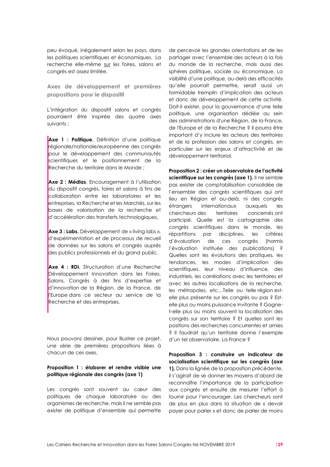peu évoqué, inégalement selon les pays, dans les politiques scientifiques et économiques. La recherche elle-même sur les foires, salons et congrès est assez limitée.

**Axes de développement et premières propositions pour le dispositif**

L'intégration du dispositif salons et congrès pourraient être inspirée des quatre axes suivants :

• **Axe 1 : Politique.** Définition d'une politique régionale/nationale/européenne des congrès pour le développement des communautés scientifiques et le positionnement de la Recherche du territoire dans le Monde ;

• **Axe 2 : Médias**. Encouragement à l'utilisation du dispositif congrès, foires et salons à fins de collaboration entre les laboratoires et les entreprises, la Recherche et les Marchés, sur les bases de valorisation de la recherche et d'accélération des transferts technologiques,

• **Axe 3 : Labs.** Développement de « living labs », d'expérimentation et de processus de recueil de données sur les salons et congrès auprès des publics professionnels et du grand public,

• **Axe 4 : RDI.** Structuration d'une Recherche Développement Innovation dans les Foires, Salons, Congrès à des fins d'expertise et d'innovation de la Région, de la France, de l'Europe dans ce secteur au service de la Recherche et des entreprises.

Nous pouvons dessiner, pour illustrer ce projet, une série de premières propositions liées à chacun de ces axes.

#### **Proposition 1 : élaborer et rendre visible une politique régionale des congrès (axe 1)**

Les congrès sont souvent au cœur des politiques de chaque laboratoire ou des organismes de recherche, mais il ne semble pas exister de politique d'ensemble qui permette

de percevoir les grandes orientations et de les partager avec l'ensemble des acteurs à la fois du monde de la recherche, mais aussi des sphères politique, sociale ou économique. La visibilité d'une politique, au-delà des efficacités qu'elle pourrait permettre, serait aussi un formidable tremplin d'implication des acteurs et donc de développement de cette activité. Doit-il exister, pour la gouvernance d'une telle politique, une organisation dédiée au sein des administrations d'une Région, de la France, de l'Europe et de la Recherche ? Il pourra être important d'y inclure les acteurs des territoires et de la profession des salons et congrès, en particulier sur les enjeux d'attractivité et de développement territorial.

**Proposition 2 : créer un observatoire de l'activité**  scientifique sur les congrès (axe 1). Il ne semble pas exister de comptabilisation consolidée de l'ensemble des congrès scientifiques qui ont lieu en Région et au-delà, ni des congrès étrangers internationaux auxquels les chercheurs des territoires concernés ont participé. Quelle est la cartographie des congrès scientifiques dans le monde, les répartitions par disciplines, les critères d'évaluation de ces congrès (hormis l'évaluation instituée des publications) ? Quelles sont les évolutions des pratiques, les tendances, les modes d'implication des scientifiques, leur niveau d'influence, des industriels, les corrélations avec les territoires et avec les autres localisations de la recherche, les métropoles, etc…Telle ou telle région estelle plus présente sur les congrès ou pas ? Estelle plus ou moins puissance invitante ? Gagnet-elle plus ou moins souvent la localisation des congrès sur son territoire ? Et quelles sont les positions des recherches concurrentes et amies ? Il faudrait qu'un territoire donne l'exemple d'un tel observatoire. La France ?

**Proposition 3 : construire un indicateur de socialisation scientifique sur les congrès (axe 1).** Dans la lignée de la proposition précédente, il s'agirait de se donner les moyens d'abord de reconnaître l'importance de la participation aux congrès et ensuite de mesurer l'effort à fournir pour l'encourager. Les chercheurs sont de plus en plus dans la situation de « devoir payer pour parler » et donc de parler de moins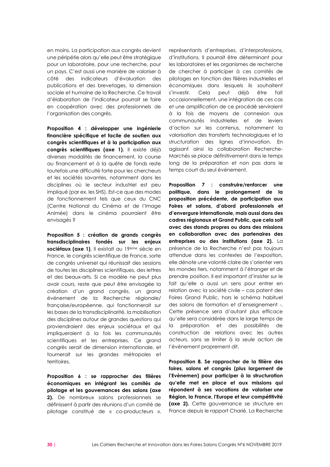en moins. La participation aux congrès devient une péripétie alors qu'elle peut être stratégique pour un laboratoire, pour une recherche, pour un pays. C'est aussi une manière de valoriser à côté des indicateurs d'évaluation des publications et des brevetages, la dimension sociale et humaine de la Recherche. Ce travail d'élaboration de l'indicateur pourrait se faire en coopération avec des professionnels de l'organisation des congrès.

**Proposition 4 : développer une ingénierie financière spécifique et facile de soutien aux congrès scientifiques et à la participation aux congrès scientifiques (axe 1).** Il existe déjà diverses modalités de financement, la course au financement et à la quête de fonds reste toutefois une difficulté forte pour les chercheurs et les sociétés savantes, notamment dans les disciplines où le secteur industriel est peu impliqué (par ex. les SHS). Est-ce que des modes de fonctionnement tels que ceux du CNC (Centre National du Cinéma et de l'Image Animée) dans le cinéma pourraient être envisagés ?

**Proposition 5 : création de grands congrès transdisciplinaires fondés sur les enjeux sociétaux (axe 1)**. Il existait au 19ème siècle en France, le congrès scientifique de France, sorte de congrès universel qui réunissait des sessions de toutes les disciplines scientifiques, des lettres et des beaux-arts. Si ce modèle ne peut plus avoir cours, reste que peut être envisagée la création d'un grand congrès, un grand événement de la Recherche régionale/ française/européenne, qui fonctionnerait sur les bases de la transdisciplinarité, la mobilisation des disciplines autour de grandes questions qui proviendraient des enjeux sociétaux et qui impliqueraient à la fois les communautés scientifiques et les entreprises. Ce grand congrès serait de dimension internationale, et tournerait sur les grandes métropoles et territoires.

**Proposition 6 : se rapprocher des filières économiques en intégrant les comités de pilotage et les gouvernances des salons (axe 2).** De nombreux salons professionnels se définissent à partir des réunions d'un comité de pilotage constitué de « co-producteurs »,

représentants d'entreprises, d'interprofessions, d'institutions. Il pourrait être déterminant pour les laboratoires et les organismes de recherche de chercher à participer à ces comités de pilotages en fonction des filières industrielles et économiques dans lesquels ils souhaitent s'investir. Cela peut déjà être fait occasionnellement, une intégration de ces cas et une amplification de ce procédé serviraient à la fois de moyens de connexion aux communautés industrielles et de leviers d'action sur les contenus, notamment la valorisation des transferts technologiques et la structuration des lignes d'innovation. En agissant ainsi la collaboration Recherche-Marchés se place définitivement dans le temps long de la préparation et non pas dans le temps court du seul événement.

**Proposition 7 : construire/renforcer une politique, dans le prolongement de la proposition précédente, de participation aux Foires et salons, d'abord professionnels et d'envergure internationale, mais aussi dans des cadres régionaux et Grand Public, que cela soit avec des stands propres ou dans des missions en collaboration avec des partenaires des entreprises ou des institutions (axe 2).** La présence de la Recherche n'est pas toujours attendue dans les contextes de l'exposition, elle dénote une volonté claire de s'orienter vers les mondes tiers, notamment à l'étranger et de prendre position. Il est important d'insister sur le fait qu'elle a aussi un sens pour entrer en relation avec la société civile – cas patent des Foires Grand Public, hors le schéma habituel des salons de formation et d'enseignement -. Cette présence sera d'autant plus efficace qu'elle sera considérée dans le large temps de la préparation et des possibilités de construction de relations avec les autres acteurs, sans se limiter à la seule action de l'événement proprement dit.

**Proposition 8. Se rapprocher de la filière des foires, salons et congrès (plus largement de l'Evènemen) pour participer à la structuration qu'elle met en place et aux missions qui répondent à ses vocations de valoriser une Région, la France, l'Europe et leur compétitivité (axe 2).** Cette gouvernance se structure en France depuis le rapport Charié. La Recherche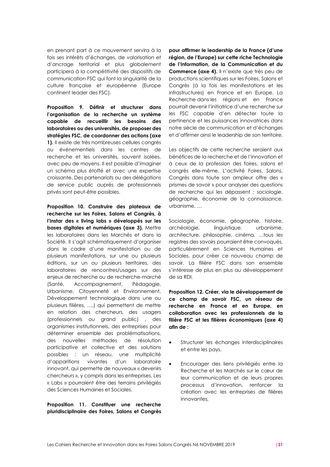en prenant part à ce mouvement servira à la fois ses intérêts d'échanges, de valorisation et d'ancrage territorial et plus globalement participera à la compétitivité des dispositifs de communication FSC qui font la singularité de la culture française et européenne (Europe continent leader des FSC).

**Proposition 9. Définir et structurer dans l'organisation de la recherche un système capable de recueillir les besoins des laboratoires ou des universités, de proposer des stratégies FSC, de coordonner des actions (axe 1).** Il existe de très nombreuses cellules congrès ou événementiels dans les centres de recherche et les universités, souvent isolées, avec peu de moyens. Il est possible d'imaginer un schéma plus étoffé et avec une expertise croissante. Des partenariats ou des délégations de service public auprès de professionnels privés sont peut-être possibles.

**Proposition 10. Construire des plateaux de recherche sur les Foires, Salons et Congrès, à l'instar des « living labs » développés sur les bases digitales et numériques (axe 3).** Mettre les laboratoires dans les Marchés et dans la Société. Il s'agit schématiquement d'organiser dans le cadre d'une manifestation ou de plusieurs manifestations, sur une ou plusieurs éditions, sur un ou plusieurs territoires, des laboratoires de rencontres/usages sur des enjeux de recherche ou de recherche-marché (Santé, Accompagnement, Pédagogie, Urbanisme, Citoyenneté et Environnement, Développement technologique dans une ou plusieurs filières, ….) qui permettent de mettre en relation des chercheurs, des usagers (professionnels ou grand public) , des organismes institutionnels, des entreprises pour déterminer ensemble des problématisations, des nouvelles méthodes de résolution participative et collective et des solutions possibles : un réseau, une multiplicité d'apparitions vivantes d'un laboratoire innovant, qui permette de nouveaux « devenirs chercheurs », y compris dans les entreprises. Les « Labs » pourraient être des terrains privilégiés des Sciences Humaines et Sociales.

**Proposition 11. Constituer une recherche pluridisciplinaire des Foires, Salons et Congrès** 

**pour affirmer le leadership de la France (d'une région, de l'Europe) sur cette riche Technologie de l'Information, de la Communication et du Commerce (axe 4).** Il n'existe que très peu de productions scientifiques sur les Foires, Salons et Congrès (à la fois les manifestations et les infrastructures) en France et en Europe. La Recherche dans les régions et en France pourrait devenir l'initiatrice d'une recherche sur les FSC capable d'en détecter toute la pertinence et les puissances innovatrices dans notre siècle de communication et d'échanges et d'affirmer ainsi le leadership de son territoire.

Les objectifs de cette recherche seraient aux bénéfices de la recherche et de l'innovation et à ceux de la profession des foires, salons et congrès elle-même. L'activité Foires, Salons, Congrès dans toute son ampleur offre des « prismes de savoir » pour analyser des questions de recherche qui les dépassent : sociologie, géographie, économie de la connaissance, urbanisme, …

Sociologie, économie, géographie, histoire, archéologie, linguistique, urbanisme, architecture, philosophie, cinéma, …tous les registres des savoirs pourraient être convoqués, particulièrement en Sciences Humaines et Sociales, pour créer ce nouveau champ de savoir. La filière FSC dans son ensemble s'intéresse de plus en plus au développement de sa RDI.

**Proposition 12. Créer, via le développement de ce champ de savoir FSC, un réseau de recherche en France et en Europe, en collaboration avec les professionnels de la filière FSC et les filières économiques (axe 4) afin de :**

- Structurer les échanges interdisciplinaires et entre les pays,
- Encourager des liens privilégiés entre la Recherche et les Marchés sur le cœur de leur communication et de leurs propres processus d'innovation, renforcer la création avec les entreprises de filières innovantes,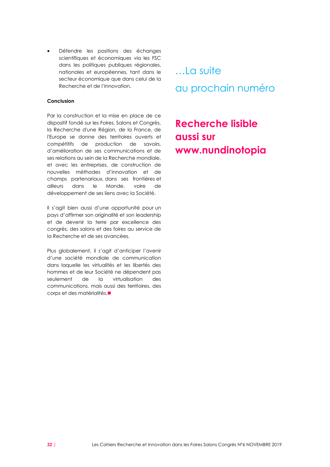Défendre les positions des échanges scientifiques et économiques via les FSC dans les politiques publiques régionales, nationales et européennes, tant dans le secteur économique que dans celui de la Recherche et de l'Innovation.

#### **Conclusion**

Par la construction et la mise en place de ce dispositif fondé sur les Foires, Salons et Congrès, la Recherche d'une Région, de la France, de l'Europe se donne des territoires ouverts et compétitifs de production de savoirs, d'amélioration de ses communications et de ses relations au sein de la Recherche mondiale, et avec les entreprises, de construction de nouvelles méthodes d'innovation et de champs partenariaux, dans ses frontières et ailleurs dans le Monde, voire de développement de ses liens avec la Société.

Il s'agit bien aussi d'une opportunité pour un pays d'affirmer son originalité et son leadership et de devenir la terre par excellence des congrès, des salons et des foires au service de la Recherche et de ses avancées.

Plus globalement, il s'agit d'anticiper l'avenir d'une société mondiale de communication dans laquelle les virtualités et les libertés des hommes et de leur Société ne dépendent pas seulement de la virtualisation des communications, mais aussi des territoires, des corps et des matérialités.■

…La suite au prochain numéro

## **Recherche lisible aussi sur www.nundinotopia**